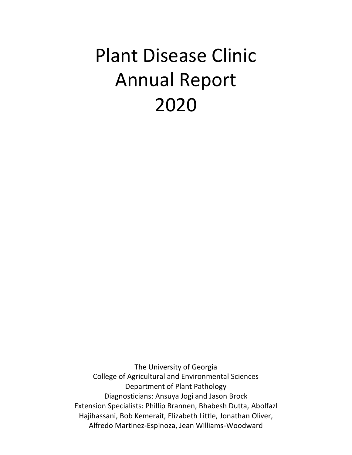# Plant Disease Clinic Annual Report 2020

The University of Georgia College of Agricultural and Environmental Sciences Department of Plant Pathology Diagnosticians: Ansuya Jogi and Jason Brock Extension Specialists: Phillip Brannen, Bhabesh Dutta, Abolfazl Hajihassani, Bob Kemerait, Elizabeth Little, Jonathan Oliver, Alfredo Martinez-Espinoza, Jean Williams-Woodward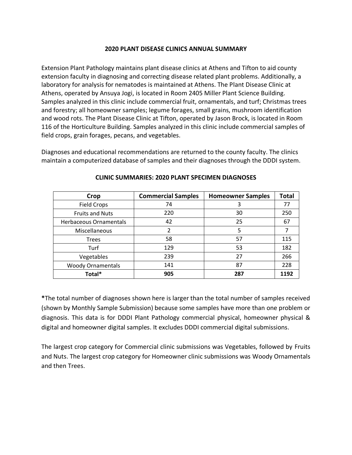#### **2020 PLANT DISEASE CLINICS ANNUAL SUMMARY**

Extension Plant Pathology maintains plant disease clinics at Athens and Tifton to aid county extension faculty in diagnosing and correcting disease related plant problems. Additionally, a laboratory for analysis for nematodes is maintained at Athens. The Plant Disease Clinic at Athens, operated by Ansuya Jogi, is located in Room 2405 Miller Plant Science Building. Samples analyzed in this clinic include commercial fruit, ornamentals, and turf; Christmas trees and forestry; all homeowner samples; legume forages, small grains, mushroom identification and wood rots. The Plant Disease Clinic at Tifton, operated by Jason Brock, is located in Room 116 of the Horticulture Building. Samples analyzed in this clinic include commercial samples of field crops, grain forages, pecans, and vegetables.

Diagnoses and educational recommendations are returned to the county faculty. The clinics maintain a computerized database of samples and their diagnoses through the DDDI system.

| Crop                          | <b>Commercial Samples</b> | <b>Homeowner Samples</b> | <b>Total</b> |
|-------------------------------|---------------------------|--------------------------|--------------|
| <b>Field Crops</b>            | 74                        | 3                        | 77           |
| <b>Fruits and Nuts</b>        | 220                       | 30                       | 250          |
| <b>Herbaceous Ornamentals</b> | 42                        | 25                       | 67           |
| Miscellaneous                 | 2                         | 5                        |              |
| <b>Trees</b>                  | 58                        | 57                       | 115          |
| Turf                          | 129                       | 53                       | 182          |
| Vegetables                    | 239                       | 27                       | 266          |
| <b>Woody Ornamentals</b>      | 141                       | 87                       | 228          |
| Total*                        | 905                       | 287                      | 1192         |

### **CLINIC SUMMARIES: 2020 PLANT SPECIMEN DIAGNOSES**

**\***The total number of diagnoses shown here is larger than the total number of samples received (shown by Monthly Sample Submission) because some samples have more than one problem or diagnosis. This data is for DDDI Plant Pathology commercial physical, homeowner physical & digital and homeowner digital samples. It excludes DDDI commercial digital submissions.

The largest crop category for Commercial clinic submissions was Vegetables, followed by Fruits and Nuts. The largest crop category for Homeowner clinic submissions was Woody Ornamentals and then Trees.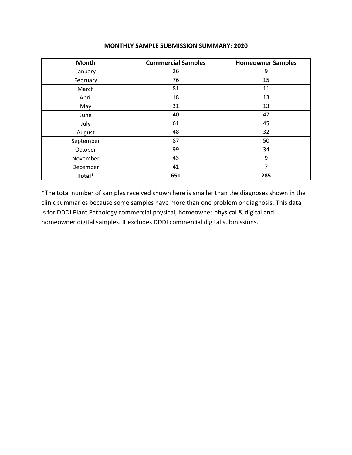| <b>Month</b> | <b>Commercial Samples</b> | <b>Homeowner Samples</b> |
|--------------|---------------------------|--------------------------|
| January      | 26                        | 9                        |
| February     | 76                        | 15                       |
| March        | 81                        | 11                       |
| April        | 18                        | 13                       |
| May          | 31                        | 13                       |
| June         | 40                        | 47                       |
| July         | 61                        | 45                       |
| August       | 48                        | 32                       |
| September    | 87                        | 50                       |
| October      | 99                        | 34                       |
| November     | 43                        | 9                        |
| December     | 41                        | 7                        |
| Total*       | 651                       | 285                      |

#### **MONTHLY SAMPLE SUBMISSION SUMMARY: 2020**

**\***The total number of samples received shown here is smaller than the diagnoses shown in the clinic summaries because some samples have more than one problem or diagnosis. This data is for DDDI Plant Pathology commercial physical, homeowner physical & digital and homeowner digital samples. It excludes DDDI commercial digital submissions.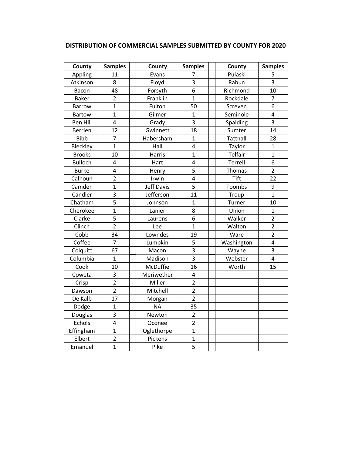| DISTRIBUTION OF COMMERCIAL SAMPLES SUBMITTED BY COUNTY FOR 2020 |  |
|-----------------------------------------------------------------|--|
|-----------------------------------------------------------------|--|

| County          | <b>Samples</b>          | County            | <b>Samples</b> | County      | <b>Samples</b>          |
|-----------------|-------------------------|-------------------|----------------|-------------|-------------------------|
| Appling         | 11                      | Evans             | 7              | Pulaski     | 5                       |
| Atkinson        | 8                       | Floyd             | 3              | Rabun       | $\overline{3}$          |
| Bacon           | 48                      | Forsyth           | 6              | Richmond    | 10                      |
| <b>Baker</b>    | $\overline{2}$          | Franklin          | $\mathbf{1}$   | Rockdale    | $\overline{7}$          |
| <b>Barrow</b>   | $\overline{1}$          | Fulton            | 50             | Screven     | 6                       |
| <b>Bartow</b>   | $\overline{1}$          | Gilmer            | $\mathbf{1}$   | Seminole    | $\overline{\mathbf{4}}$ |
| <b>Ben Hill</b> | $\overline{\mathbf{4}}$ | Grady             | 3              | Spalding    | $\overline{3}$          |
| <b>Berrien</b>  | 12                      | Gwinnett          | 18             | Sumter      | 14                      |
| <b>Bibb</b>     | 7                       | Habersham         | $\mathbf{1}$   | Tattnall    | 28                      |
| Bleckley        | $\overline{1}$          | Hall              | $\overline{4}$ | Taylor      | $\mathbf{1}$            |
| <b>Brooks</b>   | 10                      | Harris            | $\overline{1}$ | Telfair     | $\mathbf{1}$            |
| <b>Bulloch</b>  | 4                       | Hart              | 4              | Terrell     | 6                       |
| <b>Burke</b>    | $\overline{4}$          | Henry             | 5              | Thomas      | $\overline{2}$          |
| Calhoun         | $\overline{2}$          | Irwin             | 4              | <b>Tift</b> | 22                      |
| Camden          | $\overline{1}$          | <b>Jeff Davis</b> | 5              | Toombs      | 9                       |
| Candler         | 3                       | Jefferson         | 11             | Troup       | $\mathbf{1}$            |
| Chatham         | $\overline{5}$          | Johnson           | $\mathbf{1}$   | Turner      | 10                      |
| Cherokee        | $\overline{1}$          | Lanier            | 8              | Union       | $\mathbf{1}$            |
| Clarke          | $\overline{5}$          | Laurens           | 6              | Walker      | $\overline{2}$          |
| Clinch          | $\overline{2}$          | Lee               | $\overline{1}$ | Walton      | $\overline{2}$          |
| Cobb            | 34                      | Lowndes           | 19             | Ware        | $\overline{2}$          |
| Coffee          | $\overline{7}$          | Lumpkin           | 5              | Washington  | $\overline{\mathbf{4}}$ |
| Colquitt        | 67                      | Macon             | $\overline{3}$ | Wayne       | $\overline{3}$          |
| Columbia        | $\overline{1}$          | Madison           | $\overline{3}$ | Webster     | $\overline{4}$          |
| Cook            | 10                      | McDuffie          | 16             | Worth       | 15                      |
| Coweta          | 3                       | Meriwether        | 4              |             |                         |
| Crisp           | $\overline{2}$          | Miller            | $\overline{2}$ |             |                         |
| Dawson          | $\overline{2}$          | Mitchell          | $\overline{2}$ |             |                         |
| De Kalb         | 17                      | Morgan            | $\overline{2}$ |             |                         |
| Dodge           | $\mathbf{1}$            | <b>NA</b>         | 35             |             |                         |
| Douglas         | 3                       | Newton            | $\overline{2}$ |             |                         |
| Echols          | 4                       | Oconee            | $\overline{2}$ |             |                         |
| Effingham       | $\overline{1}$          | Oglethorpe        | $\mathbf{1}$   |             |                         |
| Elbert          | $\overline{2}$          | Pickens           | $\overline{1}$ |             |                         |
| Emanuel         | $\mathbf{1}$            | Pike              | 5              |             |                         |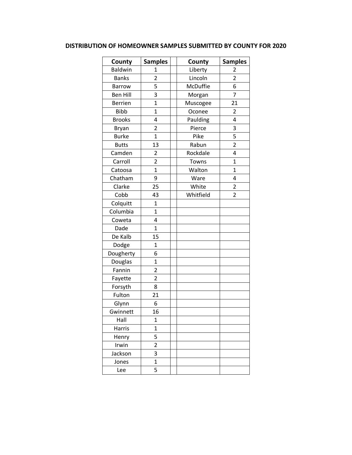## **DISTRIBUTION OF HOMEOWNER SAMPLES SUBMITTED BY COUNTY FOR 2020**

| County          | <b>Samples</b>          | County    | <b>Samples</b> |  |
|-----------------|-------------------------|-----------|----------------|--|
| <b>Baldwin</b>  | 1                       | Liberty   | 2              |  |
| <b>Banks</b>    | $\overline{2}$          | Lincoln   | $\overline{2}$ |  |
| <b>Barrow</b>   | 5                       | McDuffie  | 6              |  |
| <b>Ben Hill</b> | 3                       | Morgan    | 7              |  |
| <b>Berrien</b>  | $\overline{1}$          | Muscogee  | 21             |  |
| <b>Bibb</b>     | $\overline{1}$          | Oconee    | $\overline{2}$ |  |
| <b>Brooks</b>   | 4                       | Paulding  | 4              |  |
| <b>Bryan</b>    | $\overline{\mathbf{c}}$ | Pierce    | 3              |  |
| <b>Burke</b>    | $\overline{1}$          | Pike      | 5              |  |
| <b>Butts</b>    | 13                      | Rabun     | $\overline{2}$ |  |
| Camden          | $\overline{2}$          | Rockdale  | 4              |  |
| Carroll         | $\overline{c}$          | Towns     | $\overline{1}$ |  |
| Catoosa         | $\overline{1}$          | Walton    | $\overline{1}$ |  |
| Chatham         | 9                       | Ware      | 4              |  |
| Clarke          | 25                      | White     | $\overline{c}$ |  |
| Cobb            | 43                      | Whitfield | $\overline{2}$ |  |
| Colquitt        | $\overline{1}$          |           |                |  |
| Columbia        | $\mathbf{1}$            |           |                |  |
| Coweta          | 4                       |           |                |  |
| Dade            | $\mathbf 1$             |           |                |  |
| De Kalb         | 15                      |           |                |  |
| Dodge           | $\overline{1}$          |           |                |  |
| Dougherty       | 6                       |           |                |  |
| Douglas         | $\overline{1}$          |           |                |  |
| Fannin          | $\overline{2}$          |           |                |  |
| Fayette         | $\overline{2}$          |           |                |  |
| Forsyth         | 8                       |           |                |  |
| Fulton          | 21                      |           |                |  |
| Glynn           | 6                       |           |                |  |
| Gwinnett        | 16                      |           |                |  |
| Hall            | $\mathbf{1}$            |           |                |  |
| Harris          | $\mathbf 1$             |           |                |  |
| Henry           | 5                       |           |                |  |
| Irwin           | $\overline{2}$          |           |                |  |
| Jackson         | 3                       |           |                |  |
| Jones           | $\overline{1}$          |           |                |  |
| Lee             | 5                       |           |                |  |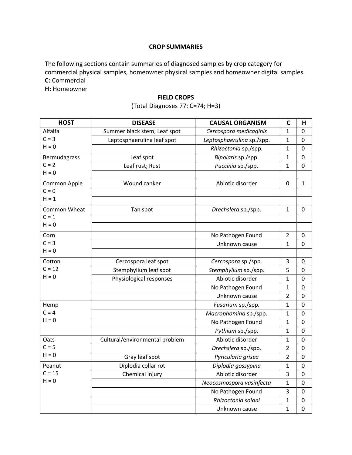#### **CROP SUMMARIES**

The following sections contain summaries of diagnosed samples by crop category for commercial physical samples, homeowner physical samples and homeowner digital samples. **C:** Commercial

**H:** Homeowner

### **FIELD CROPS**

# (Total Diagnoses 77: C=74; H=3)

| <b>HOST</b>         | <b>DISEASE</b>                 | <b>CAUSAL ORGANISM</b>    | $\mathsf{C}$   | н            |
|---------------------|--------------------------------|---------------------------|----------------|--------------|
| Alfalfa             | Summer black stem; Leaf spot   | Cercospora medicaginis    | 1              | 0            |
| $C = 3$             | Leptosphaerulina leaf spot     | Leptosphaerulina sp./spp. | $\mathbf{1}$   | 0            |
| $H = 0$             |                                | Rhizoctonia sp./spp.      | $\mathbf{1}$   | 0            |
| Bermudagrass        | Leaf spot                      | Bipolaris sp./spp.        | 1              | 0            |
| $C = 2$             | Leaf rust; Rust                | Puccinia sp./spp.         | 1              | 0            |
| $H = 0$             |                                |                           |                |              |
| Common Apple        | Wound canker                   | Abiotic disorder          | 0              | $\mathbf{1}$ |
| $C = 0$             |                                |                           |                |              |
| $H = 1$             |                                |                           |                |              |
| <b>Common Wheat</b> | Tan spot                       | Drechslera sp./spp.       | 1              | 0            |
| $C = 1$             |                                |                           |                |              |
| $H = 0$             |                                |                           |                |              |
| Corn                |                                | No Pathogen Found         | $\overline{2}$ | 0            |
| $C = 3$             |                                | Unknown cause             | 1              | 0            |
| $H = 0$             |                                |                           |                |              |
| Cotton              | Cercospora leaf spot           | Cercospora sp./spp.       | 3              | 0            |
| $C = 12$            | Stemphylium leaf spot          | Stemphylium sp./spp.      | 5              | 0            |
| $H = 0$             | Physiological responses        | Abiotic disorder          | 1              | 0            |
|                     |                                | No Pathogen Found         | $\mathbf{1}$   | 0            |
|                     |                                | Unknown cause             | $\overline{2}$ | 0            |
| Hemp                |                                | Fusarium sp./spp.         | 1              | 0            |
| $C = 4$             |                                | Macrophomina sp./spp.     | $\mathbf{1}$   | 0            |
| $H = 0$             |                                | No Pathogen Found         | 1              | 0            |
|                     |                                | Pythium sp./spp.          | 1              | 0            |
| Oats                | Cultural/environmental problem | Abiotic disorder          | 1              | 0            |
| $C = 5$             |                                | Drechslera sp./spp.       | $\overline{2}$ | 0            |
| $H = 0$             | Gray leaf spot                 | Pyricularia grisea        | $\overline{2}$ | 0            |
| Peanut              | Diplodia collar rot            | Diplodia gossypina        | 1              | 0            |
| $C = 15$            | Chemical injury                | Abiotic disorder          | 3              | 0            |
| $H = 0$             |                                | Neocosmospora vasinfecta  | 1              | 0            |
|                     |                                | No Pathogen Found         | 3              | 0            |
|                     |                                | Rhizoctonia solani        | $\mathbf{1}$   | 0            |
|                     |                                | Unknown cause             | 1              | 0            |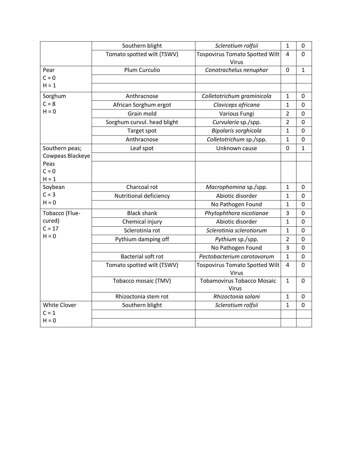|                     | Southern blight             | Sclerotium rolfsii                                | $\mathbf{1}$   | 0              |
|---------------------|-----------------------------|---------------------------------------------------|----------------|----------------|
|                     | Tomato spotted wilt (TSWV)  | <b>Tospovirus Tomato Spotted Wilt</b><br>Virus    | 4              | $\mathbf 0$    |
| Pear                | Plum Curculio               | Conotrachelus nenuphar                            | $\Omega$       | $\mathbf{1}$   |
| $C = 0$             |                             |                                                   |                |                |
| $H = 1$             |                             |                                                   |                |                |
| Sorghum             | Anthracnose                 | Colletotrichum graminicola                        | $\mathbf{1}$   | 0              |
| $C = 8$             | African Sorghum ergot       | Claviceps africana                                | 1              | 0              |
| $H = 0$             | Grain mold                  | Various Fungi                                     | $\overline{2}$ | 0              |
|                     | Sorghum curvul. head blight | Curvularia sp./spp.                               | $\overline{2}$ | 0              |
|                     | Target spot                 | Bipolaris sorghicola                              | $\mathbf{1}$   | $\mathbf 0$    |
|                     | Anthracnose                 | Colletotrichum sp./spp.                           | $\mathbf{1}$   | 0              |
| Southern peas;      | Leaf spot                   | Unknown cause                                     | 0              | $\mathbf 1$    |
| Cowpeas Blackeye    |                             |                                                   |                |                |
| Peas                |                             |                                                   |                |                |
| $C = 0$             |                             |                                                   |                |                |
| $H = 1$<br>Soybean  | Charcoal rot                |                                                   | 1              | 0              |
| $C = 3$             | Nutritional deficiency      | Macrophomina sp./spp.<br>Abiotic disorder         | $\mathbf{1}$   | 0              |
| $H = 0$             |                             | No Pathogen Found                                 | $\mathbf{1}$   | 0              |
| Tobacco (Flue-      | <b>Black shank</b>          |                                                   | 3              | 0              |
| cured)              |                             | Phytophthora nicotianae<br>Abiotic disorder       |                | 0              |
| $C = 17$            | Chemical injury             |                                                   | 1              |                |
| $H = 0$             | Sclerotinia rot             | Sclerotinia sclerotiorum                          | 1              | 0              |
|                     | Pythium damping off         | Pythium sp./spp.                                  | $\overline{2}$ | 0              |
|                     |                             | No Pathogen Found                                 | 3              | 0              |
|                     | <b>Bacterial soft rot</b>   | Pectobacterium carotovorum                        | $\mathbf{1}$   | $\mathbf 0$    |
|                     | Tomato spotted wilt (TSWV)  | <b>Tospovirus Tomato Spotted Wilt</b><br>Virus    | 4              | 0              |
|                     | Tobacco mosaic (TMV)        | <b>Tobamovirus Tobacco Mosaic</b><br><b>Virus</b> | $\mathbf{1}$   | $\overline{0}$ |
|                     | Rhizoctonia stem rot        | Rhizoctonia solani                                | $\mathbf{1}$   | 0              |
| <b>White Clover</b> | Southern blight             | Sclerotium rolfsii                                | 1              | 0              |
| $C = 1$             |                             |                                                   |                |                |
| $H = 0$             |                             |                                                   |                |                |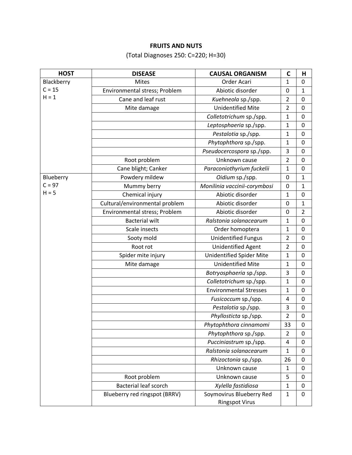## **FRUITS AND NUTS**

(Total Diagnoses 250: C=220; H=30)

| <b>HOST</b> | <b>DISEASE</b>                 | <b>CAUSAL ORGANISM</b>          | $\mathbf C$    | н              |
|-------------|--------------------------------|---------------------------------|----------------|----------------|
| Blackberry  | <b>Mites</b>                   | Order Acari                     | $\mathbf 1$    | $\mathbf 0$    |
| $C = 15$    | Environmental stress; Problem  | Abiotic disorder                | 0              | $\mathbf{1}$   |
| $H = 1$     | Cane and leaf rust             | Kuehneola sp./spp.              | $\overline{2}$ | $\mathbf 0$    |
|             | Mite damage                    | <b>Unidentified Mite</b>        | $\overline{2}$ | 0              |
|             |                                | Colletotrichum sp./spp.         | 1              | $\mathbf 0$    |
|             |                                | Leptosphaeria sp./spp.          | $\mathbf{1}$   | 0              |
|             |                                | Pestalotia sp./spp.             | 1              | $\mathbf 0$    |
|             |                                | Phytophthora sp./spp.           | 1              | 0              |
|             |                                | Pseudocercospora sp./spp.       | 3              | $\mathbf 0$    |
|             | Root problem                   | Unknown cause                   | $\overline{2}$ | $\mathbf 0$    |
|             | Cane blight; Canker            | Paraconiothyrium fuckelii       | $\mathbf 1$    | $\mathbf 0$    |
| Blueberry   | Powdery mildew                 | Oidium sp./spp.                 | $\mathbf 0$    | 1              |
| $C = 97$    | Mummy berry                    | Monilinia vaccinii-corymbosi    | $\pmb{0}$      | $\mathbf{1}$   |
| $H = 5$     | Chemical injury                | Abiotic disorder                | 1              | $\pmb{0}$      |
|             | Cultural/environmental problem | Abiotic disorder                | $\mathbf 0$    | $\mathbf{1}$   |
|             | Environmental stress; Problem  | Abiotic disorder                | $\mathbf 0$    | $\overline{2}$ |
|             | <b>Bacterial wilt</b>          | Ralstonia solanacearum          | 1              | $\pmb{0}$      |
|             | Scale insects                  | Order homoptera                 | 1              | $\pmb{0}$      |
|             | Sooty mold                     | <b>Unidentified Fungus</b>      | $\overline{2}$ | $\mathbf 0$    |
|             | Root rot                       | <b>Unidentified Agent</b>       | $\overline{2}$ | $\mathbf 0$    |
|             | Spider mite injury             | <b>Unidentified Spider Mite</b> | 1              | $\mathbf 0$    |
|             | Mite damage                    | <b>Unidentified Mite</b>        | 1              | $\mathbf 0$    |
|             |                                | Botryosphaeria sp./spp.         | 3              | $\mathbf 0$    |
|             |                                | Colletotrichum sp./spp.         | 1              | 0              |
|             |                                | <b>Environmental Stresses</b>   | 1              | $\mathbf 0$    |
|             |                                | Fusicoccum sp./spp.             | 4              | $\mathbf 0$    |
|             |                                | Pestalotia sp./spp.             | 3              | 0              |
|             |                                | Phyllosticta sp./spp.           | $\overline{2}$ | $\pmb{0}$      |
|             |                                | Phytophthora cinnamomi          | 33             | 0              |
|             |                                | Phytophthora sp./spp.           | $\overline{2}$ | $\mathbf 0$    |
|             |                                | Pucciniastrum sp./spp.          | 4              | 0              |
|             |                                | Ralstonia solanacearum          | 1              | $\mathbf 0$    |
|             |                                | Rhizoctonia sp./spp.            | 26             | 0              |
|             |                                | Unknown cause                   | $\mathbf{1}$   | $\mathbf 0$    |
|             | Root problem                   | Unknown cause                   | 5              | $\mathbf 0$    |
|             | <b>Bacterial leaf scorch</b>   | Xylella fastidiosa              | 1              | $\pmb{0}$      |
|             | Blueberry red ringspot (BRRV)  | Soymovirus Blueberry Red        | 1              | $\mathbf 0$    |
|             |                                | <b>Ringspot Virus</b>           |                |                |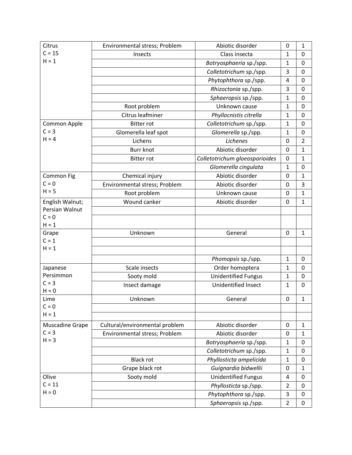| Citrus                | Environmental stress; Problem  | Abiotic disorder               | 0              | $\mathbf{1}$   |
|-----------------------|--------------------------------|--------------------------------|----------------|----------------|
| $C = 15$              | Insects                        | Class insecta                  | 1              | 0              |
| $H = 1$               |                                | Botryosphaeria sp./spp.        | 1              | 0              |
|                       |                                | Colletotrichum sp./spp.        | 3              | $\mathbf 0$    |
|                       |                                | Phytophthora sp./spp.          | $\overline{4}$ | 0              |
|                       |                                | Rhizoctonia sp./spp.           | 3              | $\mathbf 0$    |
|                       |                                | Sphaeropsis sp./spp.           | 1              | 0              |
|                       | Root problem                   | Unknown cause                  | 1              | $\overline{0}$ |
|                       | Citrus leafminer               | Phyllocnistis citrella         | 1              | 0              |
| Common Apple          | <b>Bitter rot</b>              | Colletotrichum sp./spp.        | 1              | 0              |
| $C = 3$               | Glomerella leaf spot           | Glomerella sp./spp.            | 1              | 0              |
| $H = 4$               | Lichens                        | Lichenes                       | 0              | $\overline{2}$ |
|                       | <b>Burr knot</b>               | Abiotic disorder               | $\mathbf 0$    | $\mathbf{1}$   |
|                       | <b>Bitter rot</b>              | Colletotrichum gloeosporioides | 0              | $\mathbf{1}$   |
|                       |                                | Glomerella cingulata           | $\mathbf{1}$   | $\mathbf 0$    |
| Common Fig            | Chemical injury                | Abiotic disorder               | 0              | $\mathbf{1}$   |
| $C = 0$               | Environmental stress; Problem  | Abiotic disorder               | 0              | 3              |
| $H = 5$               | Root problem                   | Unknown cause                  | 0              | $\mathbf{1}$   |
| English Walnut;       | Wound canker                   | Abiotic disorder               | 0              | $\mathbf 1$    |
| Persian Walnut        |                                |                                |                |                |
| $C = 0$               |                                |                                |                |                |
| $H = 1$               |                                |                                |                |                |
| Grape<br>$C = 1$      | Unknown                        | General                        | 0              | $\mathbf{1}$   |
| $H = 1$               |                                |                                |                |                |
|                       |                                |                                |                |                |
|                       |                                | Phomopsis sp./spp.             | $\mathbf{1}$   | 0              |
| Japanese<br>Persimmon | Scale insects                  | Order homoptera                | $\mathbf{1}$   | 0              |
| $C = 3$               | Sooty mold                     | <b>Unidentified Fungus</b>     | $\mathbf{1}$   | 0              |
| $H = 0$               | Insect damage                  | Unidentified Insect            | $\mathbf{1}$   | $\overline{0}$ |
| Lime                  | Unknown                        | General                        | $\pmb{0}$      | 1              |
| $C = 0$               |                                |                                |                |                |
| $H = 1$               |                                |                                |                |                |
| Muscadine Grape       | Cultural/environmental problem | Abiotic disorder               | 0              | $\mathbf{1}$   |
| $C = 3$               | Environmental stress; Problem  | Abiotic disorder               | 0              | $\mathbf{1}$   |
| $H = 3$               |                                | Botryosphaeria sp./spp.        | $\mathbf{1}$   | 0              |
|                       |                                | Colletotrichum sp./spp.        | $\mathbf 1$    | $\mathbf 0$    |
|                       | <b>Black rot</b>               | Phyllosticta ampelicida        | $\mathbf{1}$   | 0              |
|                       | Grape black rot                | Guignardia bidwellii           | 0              | $\mathbf{1}$   |
| Olive                 | Sooty mold                     | <b>Unidentified Fungus</b>     | 4              | 0              |
| $C = 11$              |                                | Phyllosticta sp./spp.          | $\overline{2}$ | 0              |
| $H = 0$               |                                | Phytophthora sp./spp.          | 3              | 0              |
|                       |                                | Sphaeropsis sp./spp.           | $\overline{2}$ | 0              |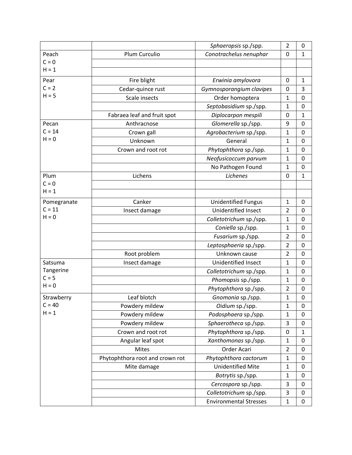|             |                                 | Sphaeropsis sp./spp.          | $\overline{2}$ | 0            |
|-------------|---------------------------------|-------------------------------|----------------|--------------|
| Peach       | Plum Curculio                   | Conotrachelus nenuphar        | 0              | $\mathbf{1}$ |
| $C = 0$     |                                 |                               |                |              |
| $H = 1$     |                                 |                               |                |              |
| Pear        | Fire blight                     | Erwinia amylovora             | 0              | 1            |
| $C = 2$     | Cedar-quince rust               | Gymnosporangium clavipes      | 0              | 3            |
| $H = 5$     | Scale insects                   | Order homoptera               | $\mathbf{1}$   | 0            |
|             |                                 | Septobasidium sp./spp.        | $\mathbf{1}$   | 0            |
|             | Fabraea leaf and fruit spot     | Diplocarpon mespili           | 0              | $\mathbf 1$  |
| Pecan       | Anthracnose                     | Glomerella sp./spp.           | 9              | 0            |
| $C = 14$    | Crown gall                      | Agrobacterium sp./spp.        | $\mathbf{1}$   | $\pmb{0}$    |
| $H = 0$     | Unknown                         | General                       | 1              | $\mathbf 0$  |
|             | Crown and root rot              | Phytophthora sp./spp.         | $\mathbf{1}$   | 0            |
|             |                                 | Neofusicoccum parvum          | $\mathbf{1}$   | 0            |
|             |                                 | No Pathogen Found             | 1              | 0            |
| Plum        | Lichens                         | Lichenes                      | 0              | $\mathbf{1}$ |
| $C = 0$     |                                 |                               |                |              |
| $H = 1$     |                                 |                               |                |              |
| Pomegranate | Canker                          | <b>Unidentified Fungus</b>    | $\mathbf{1}$   | 0            |
| $C = 11$    | Insect damage                   | Unidentified Insect           | $\overline{2}$ | 0            |
| $H = 0$     |                                 | Colletotrichum sp./spp.       | $\mathbf{1}$   | 0            |
|             |                                 | Coniella sp./spp.             | $\mathbf{1}$   | 0            |
|             |                                 | Fusarium sp./spp.             | $\overline{2}$ | $\mathbf 0$  |
|             |                                 | Leptosphaeria sp./spp.        | $\overline{2}$ | 0            |
|             | Root problem                    | Unknown cause                 | $\overline{2}$ | $\mathbf 0$  |
| Satsuma     | Insect damage                   | <b>Unidentified Insect</b>    | 1              | 0            |
| Tangerine   |                                 | Colletotrichum sp./spp.       | $\mathbf{1}$   | 0            |
| $C = 5$     |                                 | Phomopsis sp./spp.            | 1              | 0            |
| $H = 0$     |                                 | Phytophthora sp./spp.         | $\overline{2}$ | 0            |
| Strawberry  | Leaf blotch                     | Gnomonia sp./spp.             | 1              | 0            |
| $C = 40$    | Powdery mildew                  | Oidium sp./spp.               | $\mathbf{1}$   | 0            |
| $H = 1$     | Powdery mildew                  | Podosphaera sp./spp.          | 1              | 0            |
|             | Powdery mildew                  | Sphaerotheca sp./spp.         | 3              | $\pmb{0}$    |
|             | Crown and root rot              | Phytophthora sp./spp.         | 0              | $\mathbf{1}$ |
|             | Angular leaf spot               | Xanthomonas sp./spp.          | $\mathbf{1}$   | 0            |
|             | Mites                           | Order Acari                   | $\overline{2}$ | 0            |
|             | Phytophthora root and crown rot | Phytophthora cactorum         | $\mathbf{1}$   | $\pmb{0}$    |
|             | Mite damage                     | <b>Unidentified Mite</b>      | $\mathbf 1$    | 0            |
|             |                                 | Botrytis sp./spp.             | $\mathbf 1$    | $\pmb{0}$    |
|             |                                 | Cercospora sp./spp.           | 3              | $\pmb{0}$    |
|             |                                 | Colletotrichum sp./spp.       | 3              | $\pmb{0}$    |
|             |                                 | <b>Environmental Stresses</b> | $\mathbf{1}$   | 0            |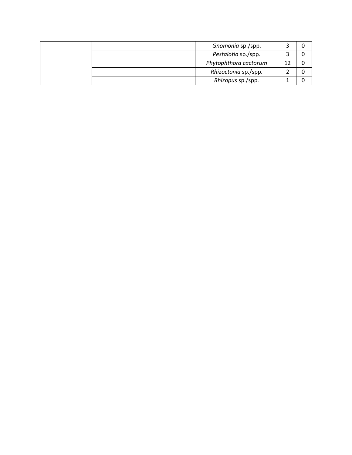|  | Gnomonia sp./spp.     |  |
|--|-----------------------|--|
|  | Pestalotia sp./spp.   |  |
|  | Phytophthora cactorum |  |
|  | Rhizoctonia sp./spp.  |  |
|  | Rhizopus sp./spp.     |  |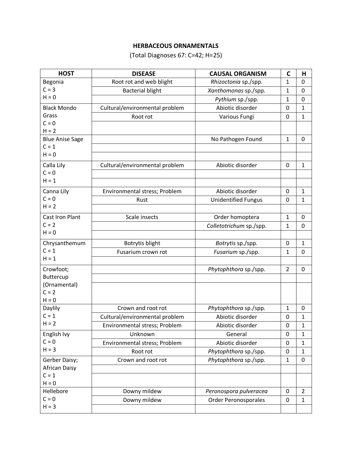# **HERBACEOUS ORNAMENTALS**

(Total Diagnoses 67: C=42; H=25)

| <b>HOST</b>            | <b>DISEASE</b>                 | <b>CAUSAL ORGANISM</b>      | $\mathsf{C}$ | Н              |
|------------------------|--------------------------------|-----------------------------|--------------|----------------|
| Begonia                | Root rot and web blight        | Rhizoctonia sp./spp.        | $\mathbf{1}$ | 0              |
| $C = 3$                | <b>Bacterial blight</b>        | Xanthomonas sp./spp.        | 1            | 0              |
| $H = 0$                |                                | Pythium sp./spp.            | $\mathbf{1}$ | 0              |
| <b>Black Mondo</b>     | Cultural/environmental problem | Abiotic disorder            | 0            | $\mathbf{1}$   |
| Grass                  | Root rot                       | Various Fungi               | 0            | $\mathbf{1}$   |
| $C = 0$                |                                |                             |              |                |
| $H = 2$                |                                |                             |              |                |
| <b>Blue Anise Sage</b> |                                | No Pathogen Found           | $\mathbf{1}$ | 0              |
| $C = 1$                |                                |                             |              |                |
| $H = 0$                |                                |                             |              |                |
| Calla Lily             | Cultural/environmental problem | Abiotic disorder            | $\mathbf 0$  | $\mathbf{1}$   |
| $C = 0$                |                                |                             |              |                |
| $H = 1$                |                                |                             |              |                |
| Canna Lily             | Environmental stress; Problem  | Abiotic disorder            | 0            | $\mathbf{1}$   |
| $C = 0$                | Rust                           | <b>Unidentified Fungus</b>  | 0            | $\mathbf{1}$   |
| $H = 2$                |                                |                             |              |                |
| <b>Cast Iron Plant</b> | Scale insects                  | Order homoptera             | $\mathbf{1}$ | 0              |
| $C = 2$                |                                | Colletotrichum sp./spp.     | $\mathbf{1}$ | 0              |
| $H = 0$                |                                |                             |              |                |
| Chrysanthemum          | Botrytis blight                | Botrytis sp./spp.           | $\mathbf 0$  | $\mathbf{1}$   |
| $C = 1$                | Fusarium crown rot             | Fusarium sp./spp.           | 1            | 0              |
| $H = 1$                |                                |                             |              |                |
| Crowfoot;              |                                | Phytophthora sp./spp.       | 2            | 0              |
| Buttercup              |                                |                             |              |                |
| (Ornamental)           |                                |                             |              |                |
| $C = 2$                |                                |                             |              |                |
| $H = 0$                |                                |                             |              |                |
| Daylily<br>$C = 1$     | Crown and root rot             | Phytophthora sp./spp.       | 1            | 0              |
| $H = 2$                | Cultural/environmental problem | Abiotic disorder            | 0            | $\mathbf{1}$   |
|                        | Environmental stress; Problem  | Abiotic disorder            | 0            | 1              |
| English Ivy            | Unknown                        | General                     | 0            | $\mathbf{1}$   |
| $C = 0$<br>$H = 3$     | Environmental stress; Problem  | Abiotic disorder            | 0            | $\mathbf{1}$   |
|                        | Root rot                       | Phytophthora sp./spp.       | 0            | $\mathbf{1}$   |
| Gerber Daisy;          | Crown and root rot             | Phytophthora sp./spp.       | $\mathbf{1}$ | 0              |
| <b>African Daisy</b>   |                                |                             |              |                |
| $C = 1$<br>$H = 0$     |                                |                             |              |                |
| Hellebore              | Downy mildew                   | Peronospora pulveracea      | $\pmb{0}$    | $\overline{2}$ |
| $C = 0$                | Downy mildew                   | <b>Order Peronosporales</b> | $\pmb{0}$    | $\mathbf{1}$   |
| $H = 3$                |                                |                             |              |                |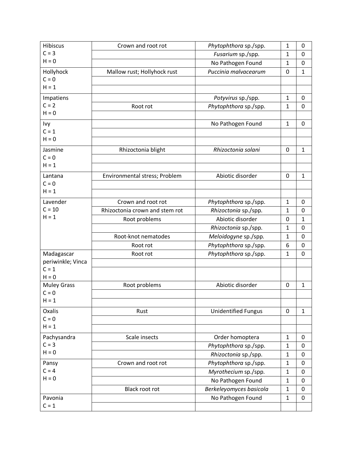| Hibiscus           | Crown and root rot             | Phytophthora sp./spp.      | 1            | 0            |
|--------------------|--------------------------------|----------------------------|--------------|--------------|
| $C = 3$            |                                | Fusarium sp./spp.          | $\mathbf{1}$ | 0            |
| $H = 0$            |                                | No Pathogen Found          | $\mathbf{1}$ | 0            |
| Hollyhock          | Mallow rust; Hollyhock rust    | Puccinia malvacearum       | 0            | $\mathbf{1}$ |
| $C = 0$            |                                |                            |              |              |
| $H = 1$            |                                |                            |              |              |
| Impatiens          |                                | Potyvirus sp./spp.         | $\mathbf{1}$ | 0            |
| $C = 2$            | Root rot                       | Phytophthora sp./spp.      | $\mathbf{1}$ | $\mathbf 0$  |
| $H = 0$            |                                |                            |              |              |
| Ivy                |                                | No Pathogen Found          | $\mathbf{1}$ | 0            |
| $C = 1$            |                                |                            |              |              |
| $H = 0$            |                                |                            |              |              |
| Jasmine            | Rhizoctonia blight             | Rhizoctonia solani         | 0            | $\mathbf{1}$ |
| $C = 0$            |                                |                            |              |              |
| $H = 1$            |                                |                            |              |              |
| Lantana            | Environmental stress; Problem  | Abiotic disorder           | 0            | $\mathbf{1}$ |
| $C = 0$            |                                |                            |              |              |
| $H = 1$            |                                |                            |              |              |
| Lavender           | Crown and root rot             | Phytophthora sp./spp.      | $\mathbf{1}$ | 0            |
| $C = 10$           | Rhizoctonia crown and stem rot | Rhizoctonia sp./spp.       | 1            | 0            |
| $H = 1$            | Root problems                  | Abiotic disorder           | 0            | $\mathbf{1}$ |
|                    |                                | Rhizoctonia sp./spp.       | $\mathbf{1}$ | 0            |
|                    | Root-knot nematodes            | Meloidogyne sp./spp.       | $\mathbf{1}$ | 0            |
|                    | Root rot                       | Phytophthora sp./spp.      | 6            | 0            |
| Madagascar         | Root rot                       | Phytophthora sp./spp.      | $\mathbf{1}$ | 0            |
| periwinkle; Vinca  |                                |                            |              |              |
| $C = 1$            |                                |                            |              |              |
| $H = 0$            |                                |                            |              |              |
| <b>Muley Grass</b> | Root problems                  | Abiotic disorder           | 0            | $\mathbf{1}$ |
| $C = 0$            |                                |                            |              |              |
| $H = 1$            |                                |                            |              |              |
| Oxalis             | Rust                           | <b>Unidentified Fungus</b> | 0            | $\mathbf{1}$ |
| $C = 0$<br>$H = 1$ |                                |                            |              |              |
|                    |                                |                            |              |              |
| Pachysandra        | Scale insects                  | Order homoptera            | $\mathbf{1}$ | 0            |
| $C = 3$<br>$H = 0$ |                                | Phytophthora sp./spp.      | $\mathbf{1}$ | $\pmb{0}$    |
|                    |                                | Rhizoctonia sp./spp.       | $\mathbf{1}$ | $\mathbf 0$  |
| Pansy              | Crown and root rot             | Phytophthora sp./spp.      | $\mathbf{1}$ | $\pmb{0}$    |
| $C = 4$<br>$H = 0$ |                                | Myrothecium sp./spp.       | $\mathbf{1}$ | $\mathbf 0$  |
|                    |                                | No Pathogen Found          | $\mathbf{1}$ | 0            |
|                    | Black root rot                 | Berkeleyomyces basicola    | $\mathbf{1}$ | 0            |
| Pavonia            |                                | No Pathogen Found          | $\mathbf{1}$ | 0            |
| $C = 1$            |                                |                            |              |              |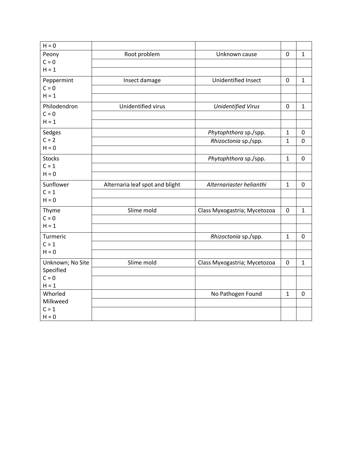| $H = 0$             |                                 |                              |              |              |
|---------------------|---------------------------------|------------------------------|--------------|--------------|
| Peony               | Root problem                    | Unknown cause                | $\mathbf 0$  | $\mathbf{1}$ |
| $C = 0$             |                                 |                              |              |              |
| $H = 1$             |                                 |                              |              |              |
| Peppermint          | Insect damage                   | Unidentified Insect          | $\mathbf 0$  | $\mathbf{1}$ |
| $C = 0$             |                                 |                              |              |              |
| $H = 1$             |                                 |                              |              |              |
| Philodendron        | Unidentified virus              | <b>Unidentified Virus</b>    | 0            | $\mathbf{1}$ |
| $C = 0$             |                                 |                              |              |              |
| $H = 1$             |                                 |                              |              |              |
| Sedges              |                                 | Phytophthora sp./spp.        | $\mathbf{1}$ | 0            |
| $C = 2$             |                                 | Rhizoctonia sp./spp.         | $\mathbf{1}$ | $\mathbf 0$  |
| $H = 0$             |                                 |                              |              |              |
| <b>Stocks</b>       |                                 | Phytophthora sp./spp.        | $\mathbf{1}$ | 0            |
| $C = 1$             |                                 |                              |              |              |
| $H = 0$             |                                 |                              |              |              |
| Sunflower           | Alternaria leaf spot and blight | Alternariaster helianthi     | $\mathbf{1}$ | 0            |
| $C = 1$             |                                 |                              |              |              |
| $H = 0$             |                                 |                              |              |              |
| Thyme               | Slime mold                      | Class Myxogastria; Mycetozoa | 0            | $\mathbf{1}$ |
| $C = 0$             |                                 |                              |              |              |
| $H = 1$             |                                 |                              |              |              |
| Turmeric            |                                 | Rhizoctonia sp./spp.         | $\mathbf{1}$ | $\pmb{0}$    |
| $C = 1$             |                                 |                              |              |              |
| $H = 0$             |                                 |                              |              |              |
| Unknown; No Site    | Slime mold                      | Class Myxogastria; Mycetozoa | 0            | $\mathbf 1$  |
| Specified           |                                 |                              |              |              |
| $C = 0$             |                                 |                              |              |              |
| $H = 1$             |                                 |                              |              |              |
| Whorled<br>Milkweed |                                 | No Pathogen Found            | $\mathbf{1}$ | $\mathbf 0$  |
| $C = 1$             |                                 |                              |              |              |
| $H = 0$             |                                 |                              |              |              |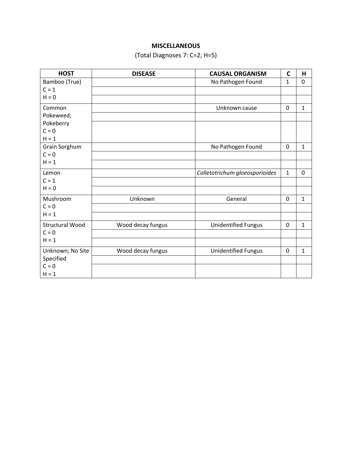## **MISCELLANEOUS**

# (Total Diagnoses 7: C=2; H=5)

| <b>HOST</b>            | <b>DISEASE</b>    | <b>CAUSAL ORGANISM</b>         | $\mathsf{C}$ | H            |
|------------------------|-------------------|--------------------------------|--------------|--------------|
| Bamboo (True)          |                   | No Pathogen Found              | $\mathbf{1}$ | 0            |
| $C = 1$                |                   |                                |              |              |
| $H = 0$                |                   |                                |              |              |
| Common                 |                   | Unknown cause                  | $\mathbf 0$  | $\mathbf 1$  |
| Pokeweed;              |                   |                                |              |              |
| Pokeberry              |                   |                                |              |              |
| $C = 0$                |                   |                                |              |              |
| $H = 1$                |                   |                                |              |              |
| Grain Sorghum          |                   | No Pathogen Found              | $\mathbf 0$  | $\mathbf 1$  |
| $C = 0$                |                   |                                |              |              |
| $H = 1$                |                   |                                |              |              |
| Lemon                  |                   | Colletotrichum gloeosporioides | $\mathbf{1}$ | $\mathbf 0$  |
| $C = 1$                |                   |                                |              |              |
| $H = 0$                |                   |                                |              |              |
| Mushroom               | Unknown           | General                        | 0            | $\mathbf{1}$ |
| $C = 0$                |                   |                                |              |              |
| $H = 1$                |                   |                                |              |              |
| <b>Structural Wood</b> | Wood decay fungus | <b>Unidentified Fungus</b>     | $\mathbf 0$  | $\mathbf{1}$ |
| $C = 0$                |                   |                                |              |              |
| $H = 1$                |                   |                                |              |              |
| Unknown; No Site       | Wood decay fungus | <b>Unidentified Fungus</b>     | 0            | $\mathbf{1}$ |
| Specified              |                   |                                |              |              |
| $C = 0$                |                   |                                |              |              |
| $H = 1$                |                   |                                |              |              |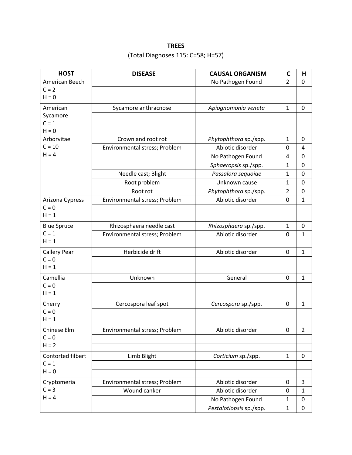# **TREES**

# (Total Diagnoses 115: C=58; H=57)

| <b>HOST</b>         | <b>DISEASE</b>                | <b>CAUSAL ORGANISM</b>  | $\mathsf{C}$   | Н              |
|---------------------|-------------------------------|-------------------------|----------------|----------------|
| American Beech      |                               | No Pathogen Found       | $\overline{2}$ | 0              |
| $C = 2$             |                               |                         |                |                |
| $H = 0$             |                               |                         |                |                |
| American            | Sycamore anthracnose          | Apiognomonia veneta     | $\mathbf{1}$   | $\mathbf 0$    |
| Sycamore            |                               |                         |                |                |
| $C = 1$             |                               |                         |                |                |
| $H = 0$             |                               |                         |                |                |
| Arborvitae          | Crown and root rot            | Phytophthora sp./spp.   | $\mathbf{1}$   | 0              |
| $C = 10$            | Environmental stress; Problem | Abiotic disorder        | 0              | 4              |
| $H = 4$             |                               | No Pathogen Found       | 4              | 0              |
|                     |                               | Sphaeropsis sp./spp.    | $\mathbf{1}$   | 0              |
|                     | Needle cast; Blight           | Passalora sequoiae      | $\mathbf{1}$   | 0              |
|                     | Root problem                  | Unknown cause           | $\mathbf{1}$   | 0              |
|                     | Root rot                      | Phytophthora sp./spp.   | $\overline{2}$ | 0              |
| Arizona Cypress     | Environmental stress; Problem | Abiotic disorder        | 0              | $\mathbf{1}$   |
| $C = 0$             |                               |                         |                |                |
| $H = 1$             |                               |                         |                |                |
| <b>Blue Spruce</b>  | Rhizosphaera needle cast      | Rhizosphaera sp./spp.   | $\mathbf{1}$   | 0              |
| $C = 1$             | Environmental stress; Problem | Abiotic disorder        | 0              | $\mathbf{1}$   |
| $H = 1$             |                               |                         |                |                |
| <b>Callery Pear</b> | Herbicide drift               | Abiotic disorder        | 0              | $\mathbf{1}$   |
| $C = 0$             |                               |                         |                |                |
| $H = 1$             |                               |                         |                |                |
| Camellia            | Unknown                       | General                 | 0              | $\mathbf{1}$   |
| $C = 0$             |                               |                         |                |                |
| $H = 1$             |                               |                         |                |                |
| Cherry              | Cercospora leaf spot          | Cercospora sp./spp.     | 0              | $\mathbf{1}$   |
| $C = 0$             |                               |                         |                |                |
| $H = 1$             |                               |                         |                |                |
| Chinese Elm         | Environmental stress; Problem | Abiotic disorder        | 0              | $\overline{2}$ |
| $C = 0$             |                               |                         |                |                |
| $H = 2$             |                               |                         |                |                |
| Contorted filbert   | Limb Blight                   | Corticium sp./spp.      | $\mathbf{1}$   | 0              |
| $C = 1$             |                               |                         |                |                |
| $H = 0$             |                               |                         |                |                |
| Cryptomeria         | Environmental stress; Problem | Abiotic disorder        | 0              | 3              |
| $C = 3$             | Wound canker                  | Abiotic disorder        | 0              | $\mathbf{1}$   |
| $H = 4$             |                               | No Pathogen Found       | $\mathbf{1}$   | 0              |
|                     |                               | Pestalotiopsis sp./spp. | $\mathbf 1$    | 0              |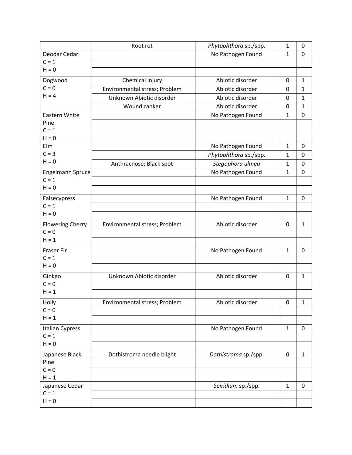|                         | Root rot                      | Phytophthora sp./spp. | $\mathbf{1}$ | 0            |
|-------------------------|-------------------------------|-----------------------|--------------|--------------|
| Deodar Cedar            |                               | No Pathogen Found     | $\mathbf{1}$ | $\mathbf 0$  |
| $C = 1$                 |                               |                       |              |              |
| $H = 0$                 |                               |                       |              |              |
| Dogwood                 | Chemical injury               | Abiotic disorder      | 0            | $\mathbf{1}$ |
| $C = 0$                 | Environmental stress; Problem | Abiotic disorder      | 0            | $\mathbf{1}$ |
| $H = 4$                 | Unknown Abiotic disorder      | Abiotic disorder      | 0            | $\mathbf{1}$ |
|                         | Wound canker                  | Abiotic disorder      | 0            | $\mathbf{1}$ |
| Eastern White           |                               | No Pathogen Found     | 1            | 0            |
| Pine                    |                               |                       |              |              |
| $C = 1$                 |                               |                       |              |              |
| $H = 0$                 |                               |                       |              |              |
| Elm                     |                               | No Pathogen Found     | $\mathbf{1}$ | 0            |
| $C = 3$                 |                               | Phytophthora sp./spp. | 1            | 0            |
| $H = 0$                 | Anthracnose; Black spot       | Stegophora ulmea      | $\mathbf{1}$ | 0            |
| Engelmann Spruce        |                               | No Pathogen Found     | $\mathbf{1}$ | $\mathbf 0$  |
| $C = 1$                 |                               |                       |              |              |
| $H = 0$                 |                               |                       |              |              |
| Falsecypress            |                               | No Pathogen Found     | $\mathbf{1}$ | 0            |
| $C = 1$                 |                               |                       |              |              |
| $H = 0$                 |                               |                       |              |              |
| <b>Flowering Cherry</b> | Environmental stress; Problem | Abiotic disorder      | 0            | $\mathbf{1}$ |
| $C = 0$                 |                               |                       |              |              |
| $H = 1$                 |                               |                       |              |              |
| <b>Fraser Fir</b>       |                               | No Pathogen Found     | $\mathbf{1}$ | 0            |
| $C = 1$                 |                               |                       |              |              |
| $H = 0$                 |                               |                       |              |              |
| Ginkgo                  | Unknown Abiotic disorder      | Abiotic disorder      | 0            | $\mathbf{1}$ |
| $C = 0$                 |                               |                       |              |              |
| $H = 1$                 |                               |                       |              |              |
| Holly                   | Environmental stress; Problem | Abiotic disorder      | $\pmb{0}$    | $\mathbf 1$  |
| $C = 0$                 |                               |                       |              |              |
| $H = 1$                 |                               |                       |              |              |
| <b>Italian Cypress</b>  |                               | No Pathogen Found     | $\mathbf{1}$ | 0            |
| $C = 1$                 |                               |                       |              |              |
| $H = 0$                 |                               |                       |              |              |
| Japanese Black          | Dothistroma needle blight     | Dothistroma sp./spp.  | $\pmb{0}$    | $\mathbf{1}$ |
| Pine                    |                               |                       |              |              |
| $C = 0$                 |                               |                       |              |              |
| $H = 1$                 |                               |                       |              |              |
| Japanese Cedar          |                               | Seiridium sp./spp.    | $\mathbf{1}$ | 0            |
| $C = 1$                 |                               |                       |              |              |
| $H = 0$                 |                               |                       |              |              |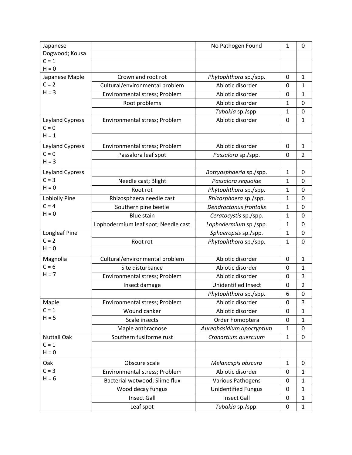| Japanese               |                                     | No Pathogen Found          | $\mathbf{1}$ | 0              |
|------------------------|-------------------------------------|----------------------------|--------------|----------------|
| Dogwood; Kousa         |                                     |                            |              |                |
| $C = 1$                |                                     |                            |              |                |
| $H = 0$                |                                     |                            |              |                |
| Japanese Maple         | Crown and root rot                  | Phytophthora sp./spp.      | 0            | 1              |
| $C = 2$                | Cultural/environmental problem      | Abiotic disorder           | 0            | 1              |
| $H = 3$                | Environmental stress; Problem       | Abiotic disorder           | 0            | 1              |
|                        | Root problems                       | Abiotic disorder           | 1            | 0              |
|                        |                                     | Tubakia sp./spp.           | $\mathbf{1}$ | $\mathbf 0$    |
| <b>Leyland Cypress</b> | Environmental stress; Problem       | Abiotic disorder           | 0            | $\mathbf{1}$   |
| $C = 0$                |                                     |                            |              |                |
| $H = 1$                |                                     |                            |              |                |
| Leyland Cypress        | Environmental stress; Problem       | Abiotic disorder           | 0            | $\mathbf{1}$   |
| $C = 0$                | Passalora leaf spot                 | Passalora sp./spp.         | 0            | 2              |
| $H = 3$                |                                     |                            |              |                |
| Leyland Cypress        |                                     | Botryosphaeria sp./spp.    | 1            | 0              |
| $C = 3$                | Needle cast; Blight                 | Passalora sequoiae         | $\mathbf{1}$ | 0              |
| $H = 0$                | Root rot                            | Phytophthora sp./spp.      | 1            | 0              |
| <b>Loblolly Pine</b>   | Rhizosphaera needle cast            | Rhizosphaera sp./spp.      | $\mathbf{1}$ | $\mathbf 0$    |
| $C = 4$                | Southern pine beetle                | Dendroctonus frontalis     | 1            | 0              |
| $H = 0$                | <b>Blue stain</b>                   | Ceratocystis sp./spp.      | $\mathbf 1$  | 0              |
|                        | Lophodermium leaf spot; Needle cast | Lophodermium sp./spp.      | 1            | 0              |
| Longleaf Pine          |                                     | Sphaeropsis sp./spp.       | 1            | $\mathbf 0$    |
| $C = 2$                | Root rot                            | Phytophthora sp./spp.      | 1            | 0              |
| $H = 0$                |                                     |                            |              |                |
| Magnolia               | Cultural/environmental problem      | Abiotic disorder           | 0            | $\mathbf{1}$   |
| $C = 6$                | Site disturbance                    | Abiotic disorder           | 0            | $\mathbf{1}$   |
| $H = 7$                | Environmental stress; Problem       | Abiotic disorder           | 0            | 3              |
|                        | Insect damage                       | <b>Unidentified Insect</b> | 0            | $\overline{2}$ |
|                        |                                     | Phytophthora sp./spp.      | 6            | $\mathbf 0$    |
| Maple                  | Environmental stress; Problem       | Abiotic disorder           | 0            | 3              |
| $C = 1$                | Wound canker                        | Abiotic disorder           | 0            | 1              |
| $H = 5$                | Scale insects                       | Order homoptera            | $\pmb{0}$    | $\mathbf{1}$   |
|                        | Maple anthracnose                   | Aureobasidium apocryptum   | $\mathbf{1}$ | $\mathbf 0$    |
| <b>Nuttall Oak</b>     | Southern fusiforme rust             | Cronartium quercuum        | $\mathbf{1}$ | $\mathbf 0$    |
| $C = 1$                |                                     |                            |              |                |
| $H = 0$                |                                     |                            |              |                |
| Oak                    | Obscure scale                       | Melanaspis obscura         | 1            | 0              |
| $C = 3$                | Environmental stress; Problem       | Abiotic disorder           | 0            | 1              |
| $H = 6$                | Bacterial wetwood; Slime flux       | Various Pathogens          | 0            | 1              |
|                        | Wood decay fungus                   | <b>Unidentified Fungus</b> | 0            | $\mathbf{1}$   |
|                        | <b>Insect Gall</b>                  | <b>Insect Gall</b>         | 0            | $\mathbf{1}$   |
|                        | Leaf spot                           | Tubakia sp./spp.           | 0            | $\mathbf{1}$   |
|                        |                                     |                            |              |                |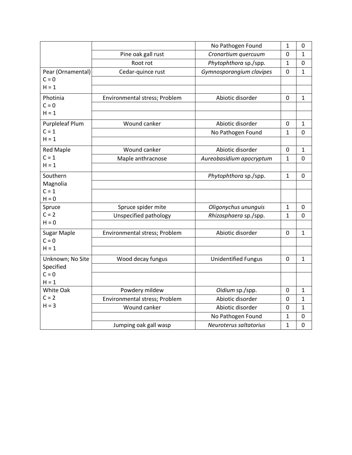|                               |                               | No Pathogen Found          | 1              | 0              |
|-------------------------------|-------------------------------|----------------------------|----------------|----------------|
|                               | Pine oak gall rust            | Cronartium quercuum        | 0              | $\mathbf{1}$   |
|                               | Root rot                      | Phytophthora sp./spp.      | $\mathbf{1}$   | 0              |
| Pear (Ornamental)             | Cedar-quince rust             | Gymnosporangium clavipes   | 0              | $\mathbf{1}$   |
| $C = 0$                       |                               |                            |                |                |
| $H = 1$                       |                               |                            |                |                |
| Photinia                      | Environmental stress; Problem | Abiotic disorder           | $\overline{0}$ | $\mathbf{1}$   |
| $C = 0$                       |                               |                            |                |                |
| $H = 1$                       |                               |                            |                |                |
| <b>Purpleleaf Plum</b>        | Wound canker                  | Abiotic disorder           | 0              | $\mathbf{1}$   |
| $C = 1$                       |                               | No Pathogen Found          | $\mathbf{1}$   | 0              |
| $H = 1$                       |                               |                            |                |                |
| <b>Red Maple</b>              | Wound canker                  | Abiotic disorder           | 0              | $\mathbf{1}$   |
| $C = 1$                       | Maple anthracnose             | Aureobasidium apocryptum   | $\mathbf{1}$   | 0              |
| $H = 1$                       |                               |                            |                |                |
| Southern                      |                               | Phytophthora sp./spp.      | $\mathbf{1}$   | $\Omega$       |
| Magnolia                      |                               |                            |                |                |
| $C = 1$                       |                               |                            |                |                |
| $H = 0$                       |                               |                            |                |                |
| Spruce<br>$C = 2$             | Spruce spider mite            | Oligonychus ununguis       | $\mathbf{1}$   | 0              |
| $H = 0$                       | Unspecified pathology         | Rhizosphaera sp./spp.      | $\mathbf{1}$   | $\overline{0}$ |
|                               |                               |                            |                |                |
| <b>Sugar Maple</b><br>$C = 0$ | Environmental stress; Problem | Abiotic disorder           | $\mathbf 0$    | $\mathbf{1}$   |
| $H = 1$                       |                               |                            |                |                |
|                               |                               |                            |                |                |
| Unknown; No Site<br>Specified | Wood decay fungus             | <b>Unidentified Fungus</b> | $\overline{0}$ | $\mathbf{1}$   |
| $C = 0$                       |                               |                            |                |                |
| $H = 1$                       |                               |                            |                |                |
| White Oak                     | Powdery mildew                | Oidium sp./spp.            | 0              | $\mathbf{1}$   |
| $C = 2$                       | Environmental stress; Problem | Abiotic disorder           | 0              | $\mathbf{1}$   |
| $H = 3$                       | Wound canker                  | Abiotic disorder           | 0              | $\mathbf{1}$   |
|                               |                               | No Pathogen Found          | $\mathbf{1}$   | $\mathbf 0$    |
|                               | Jumping oak gall wasp         | Neuroterus saltatorius     | $\mathbf{1}$   | $\mathbf 0$    |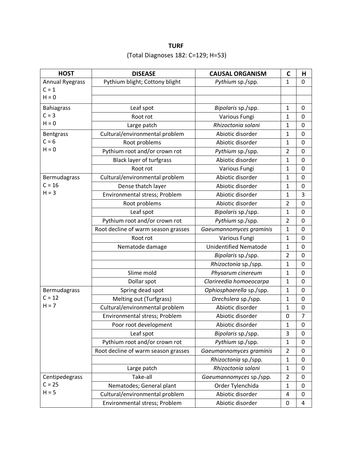# **TURF** (Total Diagnoses 182: C=129; H=53)

| <b>HOST</b>            | <b>DISEASE</b>                      | <b>CAUSAL ORGANISM</b>       | $\mathsf{C}$   | Н              |
|------------------------|-------------------------------------|------------------------------|----------------|----------------|
| <b>Annual Ryegrass</b> | Pythium blight; Cottony blight      | Pythium sp./spp.             | $\mathbf{1}$   | 0              |
| $C = 1$                |                                     |                              |                |                |
| $H = 0$                |                                     |                              |                |                |
| <b>Bahiagrass</b>      | Leaf spot                           | Bipolaris sp./spp.           | 1              | 0              |
| $C = 3$                | Root rot                            | Various Fungi                | 1              | 0              |
| $H = 0$                | Large patch                         | Rhizoctonia solani           | 1              | 0              |
| <b>Bentgrass</b>       | Cultural/environmental problem      | Abiotic disorder             | $\mathbf{1}$   | 0              |
| $C = 6$                | Root problems                       | Abiotic disorder             | 1              | 0              |
| $H = 0$                | Pythium root and/or crown rot       | Pythium sp./spp.             | $\overline{2}$ | 0              |
|                        | <b>Black layer of turfgrass</b>     | Abiotic disorder             | $\mathbf{1}$   | 0              |
|                        | Root rot                            | Various Fungi                | $\mathbf{1}$   | 0              |
| Bermudagrass           | Cultural/environmental problem      | Abiotic disorder             | $\mathbf{1}$   | 0              |
| $C = 16$               | Dense thatch layer                  | Abiotic disorder             | $\mathbf{1}$   | 0              |
| $H = 3$                | Environmental stress; Problem       | Abiotic disorder             | $\mathbf{1}$   | 3              |
|                        | Root problems                       | Abiotic disorder             | $\overline{2}$ | 0              |
|                        | Leaf spot                           | Bipolaris sp./spp.           | $\mathbf{1}$   | $\pmb{0}$      |
|                        | Pythium root and/or crown rot       | Pythium sp./spp.             | $\overline{2}$ | $\pmb{0}$      |
|                        | Root decline of warm season grasses | Gaeumannomyces graminis      | $\mathbf{1}$   | $\pmb{0}$      |
|                        | Root rot                            | Various Fungi                | 1              | 0              |
|                        | Nematode damage                     | <b>Unidentified Nematode</b> | 1              | 0              |
|                        |                                     | Bipolaris sp./spp.           | 2              | 0              |
|                        |                                     | Rhizoctonia sp./spp.         | $\mathbf{1}$   | 0              |
|                        | Slime mold                          | Physarum cinereum            | 1              | 0              |
|                        | Dollar spot                         | Clarireedia homoeocarpa      | $\mathbf{1}$   | 0              |
| Bermudagrass           | Spring dead spot                    | Ophiosphaerella sp./spp.     | $\mathbf{1}$   | 0              |
| $C = 12$               | Melting out (Turfgrass)             | Drechslera sp./spp.          | $\mathbf{1}$   | 0              |
| $H = 7$                | Cultural/environmental problem      | Abiotic disorder             | 1              | 0              |
|                        | Environmental stress; Problem       | Abiotic disorder             | 0              | $\overline{7}$ |
|                        | Poor root development               | Abiotic disorder             | 1              | 0              |
|                        | Leaf spot                           | Bipolaris sp./spp.           | 3              | 0              |
|                        | Pythium root and/or crown rot       | Pythium sp./spp.             | 1              | 0              |
|                        | Root decline of warm season grasses | Gaeumannomyces graminis      | $\overline{2}$ | 0              |
|                        |                                     | Rhizoctonia sp./spp.         | $\mathbf{1}$   | 0              |
|                        | Large patch                         | Rhizoctonia solani           | $\mathbf{1}$   | $\pmb{0}$      |
| Centipedegrass         | Take-all                            | Gaeumannomyces sp./spp.      | 2              | 0              |
| $C = 25$               | Nematodes; General plant            | Order Tylenchida             | $\mathbf{1}$   | $\pmb{0}$      |
| $H = 5$                | Cultural/environmental problem      | Abiotic disorder             | 4              | 0              |
|                        | Environmental stress; Problem       | Abiotic disorder             | 0              | 4              |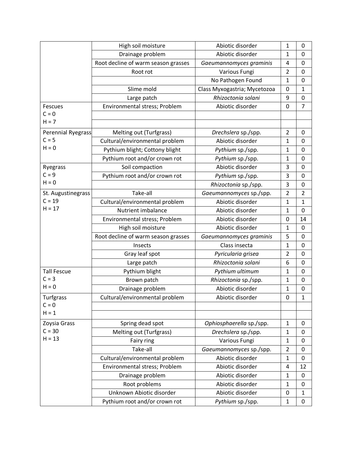|                           | High soil moisture                  | Abiotic disorder             | 1              | 0              |
|---------------------------|-------------------------------------|------------------------------|----------------|----------------|
|                           | Drainage problem                    | Abiotic disorder             | $\mathbf{1}$   | 0              |
|                           | Root decline of warm season grasses | Gaeumannomyces graminis      | 4              | $\pmb{0}$      |
|                           | Root rot                            | Various Fungi                | $\overline{2}$ | 0              |
|                           |                                     | No Pathogen Found            | $\mathbf{1}$   | $\pmb{0}$      |
|                           | Slime mold                          | Class Myxogastria; Mycetozoa | 0              | $\mathbf{1}$   |
|                           | Large patch                         | Rhizoctonia solani           | 9              | $\pmb{0}$      |
| Fescues                   | Environmental stress; Problem       | Abiotic disorder             | $\mathbf 0$    | $\overline{7}$ |
| $C = 0$                   |                                     |                              |                |                |
| $H = 7$                   |                                     |                              |                |                |
| <b>Perennial Ryegrass</b> | Melting out (Turfgrass)             | Drechslera sp./spp.          | $\overline{2}$ | 0              |
| $C = 5$                   | Cultural/environmental problem      | Abiotic disorder             | 1              | 0              |
| $H = 0$                   | Pythium blight; Cottony blight      | Pythium sp./spp.             | $\mathbf{1}$   | 0              |
|                           | Pythium root and/or crown rot       | Pythium sp./spp.             | 1              | 0              |
| Ryegrass                  | Soil compaction                     | Abiotic disorder             | 3              | 0              |
| $C = 9$                   | Pythium root and/or crown rot       | Pythium sp./spp.             | 3              | 0              |
| $H = 0$                   |                                     | Rhizoctonia sp./spp.         | 3              | $\mathbf 0$    |
| St. Augustinegrass        | Take-all                            | Gaeumannomyces sp./spp.      | $\overline{2}$ | $\overline{2}$ |
| $C = 19$                  | Cultural/environmental problem      | Abiotic disorder             | $\mathbf{1}$   | $\mathbf{1}$   |
| $H = 17$                  | Nutrient imbalance                  | Abiotic disorder             | $\mathbf{1}$   | 0              |
|                           | Environmental stress; Problem       | Abiotic disorder             | 0              | 14             |
|                           | High soil moisture                  | Abiotic disorder             | 1              | 0              |
|                           | Root decline of warm season grasses | Gaeumannomyces graminis      | 5              | 0              |
|                           | Insects                             | Class insecta                | $\mathbf{1}$   | 0              |
|                           | Gray leaf spot                      | Pyricularia grisea           | $\overline{2}$ | $\mathbf 0$    |
|                           | Large patch                         | Rhizoctonia solani           | 6              | 0              |
| <b>Tall Fescue</b>        | Pythium blight                      | Pythium ultimum              | $\mathbf{1}$   | 0              |
| $C = 3$                   | Brown patch                         | Rhizoctonia sp./spp.         | $\mathbf{1}$   | 0              |
| $H = 0$                   | Drainage problem                    | Abiotic disorder             | $\mathbf{1}$   | $\mathbf 0$    |
| Turfgrass                 | Cultural/environmental problem      | Abiotic disorder             | 0              | $\mathbf{1}$   |
| $C = 0$                   |                                     |                              |                |                |
| $H = 1$                   |                                     |                              |                |                |
| Zoysia Grass              | Spring dead spot                    | Ophiosphaerella sp./spp.     | $\mathbf{1}$   | 0              |
| $C = 30$                  | Melting out (Turfgrass)             | Drechslera sp./spp.          | $\mathbf{1}$   | 0              |
| $H = 13$                  | Fairy ring                          | Various Fungi                | $\mathbf{1}$   | $\mathbf 0$    |
|                           | Take-all                            | Gaeumannomyces sp./spp.      | $\overline{2}$ | 0              |
|                           | Cultural/environmental problem      | Abiotic disorder             | $\mathbf{1}$   | $\mathbf 0$    |
|                           | Environmental stress; Problem       | Abiotic disorder             | 4              | 12             |
|                           | Drainage problem                    | Abiotic disorder             | $\mathbf{1}$   | $\mathbf 0$    |
|                           | Root problems                       | Abiotic disorder             | $\mathbf{1}$   | 0              |
|                           | Unknown Abiotic disorder            | Abiotic disorder             | 0              | $\mathbf{1}$   |
|                           | Pythium root and/or crown rot       | Pythium sp./spp.             | $\mathbf{1}$   | 0              |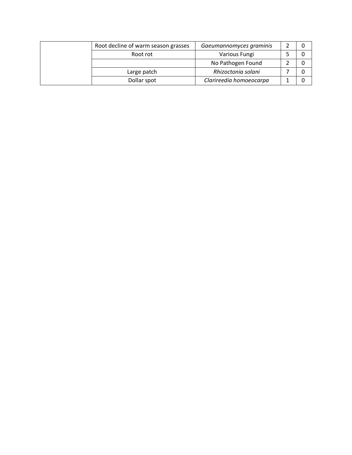| Root decline of warm season grasses | Gaeumannomyces graminis |  |
|-------------------------------------|-------------------------|--|
| Root rot                            | Various Fungi           |  |
|                                     | No Pathogen Found       |  |
| Large patch                         | Rhizoctonia solani      |  |
| Dollar spot                         | Clarireedia homoeocarpa |  |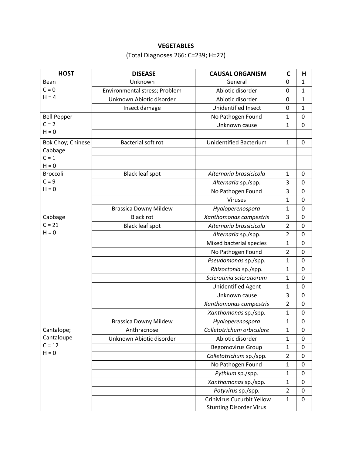## **VEGETABLES**

(Total Diagnoses 266: C=239; H=27)

| <b>HOST</b>                | <b>DISEASE</b>                | <b>CAUSAL ORGANISM</b>            | $\mathsf{C}$   | Н            |
|----------------------------|-------------------------------|-----------------------------------|----------------|--------------|
| Bean                       | Unknown                       | General                           | 0              | $\mathbf{1}$ |
| $C = 0$                    | Environmental stress; Problem | Abiotic disorder                  | 0              | $\mathbf{1}$ |
| $H = 4$                    | Unknown Abiotic disorder      | Abiotic disorder                  | 0              | $\mathbf{1}$ |
|                            | Insect damage                 | Unidentified Insect               | 0              | $\mathbf{1}$ |
| <b>Bell Pepper</b>         |                               | No Pathogen Found                 | $\mathbf{1}$   | 0            |
| $C = 2$                    |                               | Unknown cause                     | $\mathbf{1}$   | 0            |
| $H = 0$                    |                               |                                   |                |              |
| Bok Choy; Chinese          | Bacterial soft rot            | <b>Unidentified Bacterium</b>     | $\mathbf{1}$   | 0            |
| Cabbage                    |                               |                                   |                |              |
| $C = 1$                    |                               |                                   |                |              |
| $H = 0$<br><b>Broccoli</b> |                               | Alternaria brassicicola           |                |              |
| $C = 9$                    | <b>Black leaf spot</b>        |                                   | 1              | 0            |
| $H = 0$                    |                               | Alternaria sp./spp.               | 3              | 0            |
|                            |                               | No Pathogen Found                 | 3              | 0            |
|                            |                               | Viruses                           | $\mathbf{1}$   | 0            |
|                            | <b>Brassica Downy Mildew</b>  | Hyaloperenospora                  | 1              | 0            |
| Cabbage<br>$C = 21$        | <b>Black rot</b>              | Xanthomonas campestris            | 3              | 0            |
| $H = 0$                    | <b>Black leaf spot</b>        | Alternaria brassicicola           | $\overline{2}$ | 0            |
|                            |                               | Alternaria sp./spp.               | $\overline{2}$ | 0            |
|                            |                               | Mixed bacterial species           | $\mathbf{1}$   | 0            |
|                            |                               | No Pathogen Found                 | $\overline{2}$ | 0            |
|                            |                               | Pseudomonas sp./spp.              | $\mathbf{1}$   | 0            |
|                            |                               | Rhizoctonia sp./spp.              | $\mathbf{1}$   | 0            |
|                            |                               | Sclerotinia sclerotiorum          | $\mathbf{1}$   | 0            |
|                            |                               | Unidentified Agent                | 1              | 0            |
|                            |                               | Unknown cause                     | 3              | 0            |
|                            |                               | Xanthomonas campestris            | 2              | 0            |
|                            |                               | Xanthomonas sp./spp.              | $\mathbf{1}$   | 0            |
|                            | <b>Brassica Downy Mildew</b>  | Hyaloperenospora                  | 1              | 0            |
| Cantalope;                 | Anthracnose                   | Colletotrichum orbiculare         | 1              | 0            |
| Cantaloupe                 | Unknown Abiotic disorder      | Abiotic disorder                  | 1              | 0            |
| $C = 12$<br>$H = 0$        |                               | <b>Begomovirus Group</b>          | 1              | 0            |
|                            |                               | Colletotrichum sp./spp.           | $\overline{2}$ | 0            |
|                            |                               | No Pathogen Found                 | $\mathbf{1}$   | 0            |
|                            |                               | Pythium sp./spp.                  | $\mathbf{1}$   | 0            |
|                            |                               | Xanthomonas sp./spp.              | $\mathbf{1}$   | 0            |
|                            |                               | Potyvirus sp./spp.                | $\overline{2}$ | 0            |
|                            |                               | <b>Crinivirus Cucurbit Yellow</b> | 1              | $\pmb{0}$    |
|                            |                               | <b>Stunting Disorder Virus</b>    |                |              |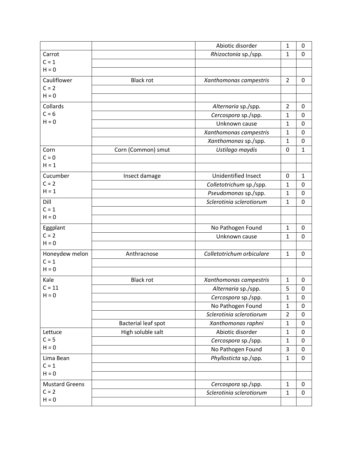|                       |                     | Abiotic disorder           | 1              | 0            |
|-----------------------|---------------------|----------------------------|----------------|--------------|
| Carrot                |                     | Rhizoctonia sp./spp.       | $\mathbf{1}$   | $\mathbf 0$  |
| $C = 1$               |                     |                            |                |              |
| $H = 0$               |                     |                            |                |              |
| Cauliflower           | <b>Black rot</b>    | Xanthomonas campestris     | $\overline{2}$ | $\mathbf 0$  |
| $C = 2$               |                     |                            |                |              |
| $H = 0$               |                     |                            |                |              |
| Collards              |                     | Alternaria sp./spp.        | $\overline{2}$ | $\mathbf 0$  |
| $C = 6$               |                     | Cercospora sp./spp.        | 1              | 0            |
| $H = 0$               |                     | Unknown cause              | 1              | 0            |
|                       |                     | Xanthomonas campestris     | 1              | 0            |
|                       |                     | Xanthomonas sp./spp.       | $\mathbf{1}$   | 0            |
| Corn                  | Corn (Common) smut  | Ustilago maydis            | 0              | $\mathbf{1}$ |
| $C = 0$               |                     |                            |                |              |
| $H = 1$               |                     |                            |                |              |
| Cucumber              | Insect damage       | <b>Unidentified Insect</b> | 0              | $\mathbf{1}$ |
| $C = 2$               |                     | Colletotrichum sp./spp.    | $\mathbf{1}$   | 0            |
| $H = 1$               |                     | Pseudomonas sp./spp.       | 1              | 0            |
| Dill                  |                     | Sclerotinia sclerotiorum   | $\mathbf{1}$   | $\mathbf 0$  |
| $C = 1$               |                     |                            |                |              |
| $H = 0$               |                     |                            |                |              |
| Eggplant              |                     | No Pathogen Found          | 1              | 0            |
| $C = 2$               |                     | Unknown cause              | $\mathbf{1}$   | 0            |
| $H = 0$               |                     |                            |                |              |
| Honeydew melon        | Anthracnose         | Colletotrichum orbiculare  | $\mathbf{1}$   | $\mathbf 0$  |
| $C = 1$               |                     |                            |                |              |
| $H = 0$               |                     |                            |                |              |
| Kale                  | <b>Black rot</b>    | Xanthomonas campestris     | $\mathbf{1}$   | 0            |
| $C = 11$              |                     | Alternaria sp./spp.        | 5              | $\pmb{0}$    |
| $H = 0$               |                     | Cercospora sp./spp.        | 1              | 0            |
|                       |                     | No Pathogen Found          | $\mathbf{1}$   | 0            |
|                       |                     | Sclerotinia sclerotiorum   | $\overline{2}$ | 0            |
|                       | Bacterial leaf spot | Xanthomonas raphni         | $\mathbf{1}$   | $\mathbf 0$  |
| Lettuce               | High soluble salt   | Abiotic disorder           | $\mathbf{1}$   | $\pmb{0}$    |
| $C = 5$               |                     | Cercospora sp./spp.        | $\mathbf{1}$   | $\pmb{0}$    |
| $H = 0$               |                     | No Pathogen Found          | 3              | $\pmb{0}$    |
| Lima Bean             |                     | Phyllosticta sp./spp.      | $\mathbf{1}$   | $\pmb{0}$    |
| $C = 1$               |                     |                            |                |              |
| $H = 0$               |                     |                            |                |              |
| <b>Mustard Greens</b> |                     | Cercospora sp./spp.        | $\mathbf{1}$   | $\mathbf 0$  |
| $C = 2$               |                     | Sclerotinia sclerotiorum   | $\mathbf{1}$   | $\pmb{0}$    |
| $H = 0$               |                     |                            |                |              |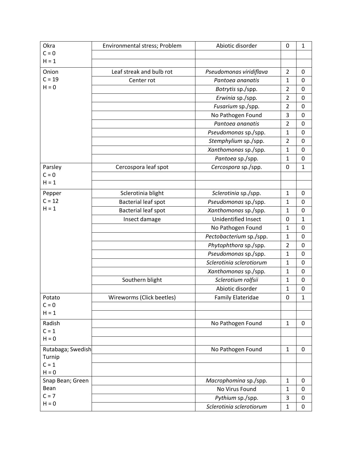| Okra                     | Environmental stress; Problem | Abiotic disorder                        | 0              | $\mathbf{1}$ |
|--------------------------|-------------------------------|-----------------------------------------|----------------|--------------|
| $C = 0$                  |                               |                                         |                |              |
| $H = 1$                  |                               |                                         |                |              |
| Onion                    | Leaf streak and bulb rot      | Pseudomonas viridiflava                 | $\overline{2}$ | 0            |
| $C = 19$                 | Center rot                    | Pantoea ananatis                        | $\mathbf{1}$   | 0            |
| $H = 0$                  |                               | Botrytis sp./spp.                       | $\overline{2}$ | 0            |
|                          |                               | Erwinia sp./spp.                        | $\overline{2}$ | $\mathbf 0$  |
|                          |                               | Fusarium sp./spp.                       | $\overline{2}$ | 0            |
|                          |                               | No Pathogen Found                       | 3              | 0            |
|                          |                               | Pantoea ananatis                        | $\overline{2}$ | 0            |
|                          |                               | Pseudomonas sp./spp.                    | $\mathbf{1}$   | $\mathbf 0$  |
|                          |                               | Stemphylium sp./spp.                    | $\overline{2}$ | 0            |
|                          |                               | Xanthomonas sp./spp.                    | $\mathbf{1}$   | $\mathbf 0$  |
|                          |                               | Pantoea sp./spp.                        | $\mathbf{1}$   | $\pmb{0}$    |
| Parsley                  | Cercospora leaf spot          | Cercospora sp./spp.                     | 0              | $\mathbf{1}$ |
| $C = 0$                  |                               |                                         |                |              |
| $H = 1$                  |                               |                                         |                |              |
| Pepper                   | Sclerotinia blight            | Sclerotinia sp./spp.                    | $\mathbf{1}$   | 0            |
| $C = 12$                 | <b>Bacterial leaf spot</b>    | Pseudomonas sp./spp.                    | $\mathbf{1}$   | $\mathbf 0$  |
| $H = 1$                  | <b>Bacterial leaf spot</b>    | Xanthomonas sp./spp.                    | $\mathbf{1}$   | 0            |
|                          | Insect damage                 | Unidentified Insect                     | 0              | $\mathbf{1}$ |
|                          |                               | No Pathogen Found                       | $\mathbf{1}$   | 0            |
|                          |                               | Pectobacterium sp./spp.                 | $\mathbf{1}$   | $\mathbf 0$  |
|                          |                               | Phytophthora sp./spp.                   | $\overline{2}$ | $\pmb{0}$    |
|                          |                               | Pseudomonas sp./spp.                    | $\mathbf{1}$   | $\pmb{0}$    |
|                          |                               | Sclerotinia sclerotiorum                | $\mathbf{1}$   | $\pmb{0}$    |
|                          |                               | Xanthomonas sp./spp.                    | $\mathbf{1}$   | $\mathbf 0$  |
|                          | Southern blight               | Sclerotium rolfsii                      | $\mathbf{1}$   | $\pmb{0}$    |
|                          |                               | Abiotic disorder                        | $\mathbf{1}$   | $\pmb{0}$    |
| Potato                   | Wireworms (Click beetles)     | <b>Family Elateridae</b>                | 0              | $\mathbf{1}$ |
| $C = 0$                  |                               |                                         |                |              |
| $H = 1$                  |                               |                                         |                |              |
| Radish                   |                               | No Pathogen Found                       | $\mathbf{1}$   | 0            |
| $C = 1$                  |                               |                                         |                |              |
| $H = 0$                  |                               |                                         |                |              |
| Rutabaga; Swedish        |                               | No Pathogen Found                       | $\mathbf{1}$   | 0            |
| Turnip                   |                               |                                         |                |              |
| $C = 1$                  |                               |                                         |                |              |
| $H = 0$                  |                               |                                         | $\mathbf{1}$   | 0            |
| Snap Bean; Green<br>Bean |                               | Macrophomina sp./spp.<br>No Virus Found | $\mathbf{1}$   |              |
| $C = 7$                  |                               |                                         | 3              | 0<br>0       |
| $H = 0$                  |                               | Pythium sp./spp.                        |                |              |
|                          |                               | Sclerotinia sclerotiorum                | $\mathbf{1}$   | $\pmb{0}$    |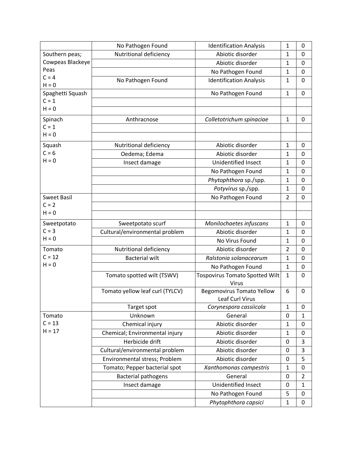|                             | No Pathogen Found               | <b>Identification Analysis</b>        | 1              | 0              |
|-----------------------------|---------------------------------|---------------------------------------|----------------|----------------|
| Southern peas;              | Nutritional deficiency          | Abiotic disorder                      | $\mathbf{1}$   | 0              |
| Cowpeas Blackeye            |                                 | Abiotic disorder                      | 1              | 0              |
| Peas                        |                                 | No Pathogen Found                     | 1              | $\mathbf 0$    |
| $C = 4$                     | No Pathogen Found               | <b>Identification Analysis</b>        | 1              | 0              |
| $H = 0$                     |                                 |                                       |                |                |
| Spaghetti Squash<br>$C = 1$ |                                 | No Pathogen Found                     | 1              | 0              |
| $H = 0$                     |                                 |                                       |                |                |
|                             |                                 |                                       |                |                |
| Spinach                     | Anthracnose                     | Colletotrichum spinaciae              | $\mathbf{1}$   | 0              |
| $C = 1$<br>$H = 0$          |                                 |                                       |                |                |
|                             |                                 |                                       |                |                |
| Squash                      | Nutritional deficiency          | Abiotic disorder                      | $\mathbf{1}$   | 0              |
| $C = 6$                     | Oedema; Edema                   | Abiotic disorder                      | $\mathbf{1}$   | 0              |
| $H = 0$                     | Insect damage                   | <b>Unidentified Insect</b>            | $\mathbf{1}$   | 0              |
|                             |                                 | No Pathogen Found                     | $\mathbf{1}$   | 0              |
|                             |                                 | Phytophthora sp./spp.                 | $\mathbf{1}$   | 0              |
|                             |                                 | Potyvirus sp./spp.                    | $\mathbf{1}$   | 0              |
| <b>Sweet Basil</b>          |                                 | No Pathogen Found                     | $\overline{2}$ | 0              |
| $C = 2$                     |                                 |                                       |                |                |
| $H = 0$                     |                                 |                                       |                |                |
| Sweetpotato                 | Sweetpotato scurf               | Monilochaetes infuscans               | 1              | 0              |
| $C = 3$                     | Cultural/environmental problem  | Abiotic disorder                      | 1              | 0              |
| $H = 0$                     |                                 | No Virus Found                        | 1              | 0              |
| Tomato                      | Nutritional deficiency          | Abiotic disorder                      | $\overline{2}$ | 0              |
| $C = 12$                    | <b>Bacterial wilt</b>           | Ralstonia solanacearum                | $\mathbf{1}$   | $\mathbf 0$    |
| $H = 0$                     |                                 | No Pathogen Found                     | $\mathbf{1}$   | 0              |
|                             | Tomato spotted wilt (TSWV)      | <b>Tospovirus Tomato Spotted Wilt</b> | $\mathbf{1}$   | $\mathbf 0$    |
|                             |                                 | Virus                                 |                |                |
|                             | Tomato yellow leaf curl (TYLCV) | <b>Begomovirus Tomato Yellow</b>      | 6              | 0              |
|                             |                                 | Leaf Curl Virus                       |                |                |
|                             | Target spot                     | Corynespora cassiicola                | $\mathbf{1}$   | 0              |
| Tomato                      | Unknown                         | General                               | 0              | 1              |
| $C = 13$                    | Chemical injury                 | Abiotic disorder                      | 1              | 0              |
| $H = 17$                    | Chemical; Environmental injury  | Abiotic disorder                      | $\mathbf{1}$   | 0              |
|                             | Herbicide drift                 | Abiotic disorder                      | 0              | 3              |
|                             | Cultural/environmental problem  | Abiotic disorder                      | 0              | 3              |
|                             | Environmental stress; Problem   | Abiotic disorder                      | 0              | 5              |
|                             | Tomato; Pepper bacterial spot   | Xanthomonas campestris                | $\mathbf{1}$   | 0              |
|                             | <b>Bacterial pathogens</b>      | General                               | 0              | $\overline{2}$ |
|                             | Insect damage                   | Unidentified Insect                   | 0              | $\mathbf{1}$   |
|                             |                                 | No Pathogen Found                     | 5              | $\pmb{0}$      |
|                             |                                 | Phytophthora capsici                  | $\mathbf{1}$   | $\pmb{0}$      |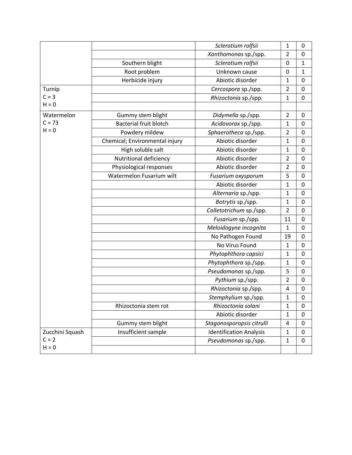|                 |                                | Sclerotium rolfsii             | 1              | 0           |
|-----------------|--------------------------------|--------------------------------|----------------|-------------|
|                 |                                | Xanthomonas sp./spp.           | $\overline{2}$ | $\mathbf 0$ |
|                 | Southern blight                | Sclerotium rolfsii             | 0              | $\mathbf 1$ |
|                 | Root problem                   | Unknown cause                  | 0              | $\mathbf 1$ |
|                 | Herbicide injury               | Abiotic disorder               | $\mathbf{1}$   | $\mathbf 0$ |
| Turnip          |                                | Cercospora sp./spp.            | $\overline{2}$ | $\mathbf 0$ |
| $C = 3$         |                                | Rhizoctonia sp./spp.           | $\mathbf{1}$   | 0           |
| $H = 0$         |                                |                                |                |             |
| Watermelon      | Gummy stem blight              | Didymella sp./spp.             | $\overline{2}$ | 0           |
| $C = 73$        | <b>Bacterial fruit blotch</b>  | Acidovorax sp./spp.            | $\mathbf{1}$   | 0           |
| $H = 0$         | Powdery mildew                 | Sphaerotheca sp./spp.          | $\overline{2}$ | 0           |
|                 | Chemical; Environmental injury | Abiotic disorder               | $\mathbf{1}$   | 0           |
|                 | High soluble salt              | Abiotic disorder               | $\mathbf{1}$   | $\mathbf 0$ |
|                 | Nutritional deficiency         | Abiotic disorder               | $\overline{2}$ | $\mathbf 0$ |
|                 | Physiological responses        | Abiotic disorder               | $\overline{2}$ | $\mathbf 0$ |
|                 | Watermelon Fusarium wilt       | Fusarium oxysporum             | 5              | $\mathbf 0$ |
|                 |                                | Abiotic disorder               | $\mathbf{1}$   | $\mathbf 0$ |
|                 |                                | Alternaria sp./spp.            | $\mathbf{1}$   | 0           |
|                 |                                | Botrytis sp./spp.              | $\mathbf{1}$   | 0           |
|                 |                                | Colletotrichum sp./spp.        | $\overline{2}$ | 0           |
|                 |                                | Fusarium sp./spp.              | 11             | $\mathbf 0$ |
|                 |                                | Meloidogyne incognita          | 1              | 0           |
|                 |                                | No Pathogen Found              | 19             | $\mathbf 0$ |
|                 |                                | No Virus Found                 | 1              | 0           |
|                 |                                | Phytophthora capsici           | $\mathbf{1}$   | $\mathbf 0$ |
|                 |                                | Phytophthora sp./spp.          | $\mathbf{1}$   | 0           |
|                 |                                | Pseudomonas sp./spp.           | 5              | 0           |
|                 |                                | Pythium sp./spp.               | $\overline{2}$ | 0           |
|                 |                                | Rhizoctonia sp./spp.           | 4              | 0           |
|                 |                                | Stemphylium sp./spp.           | 1              | 0           |
|                 | Rhizoctonia stem rot           | Rhizoctonia solani             | $\mathbf{1}$   | $\mathbf 0$ |
|                 |                                | Abiotic disorder               | $\mathbf 1$    | 0           |
|                 | Gummy stem blight              | Stagonosporopsis citrulli      | 4              | $\pmb{0}$   |
| Zucchini Squash | Insufficient sample            | <b>Identification Analysis</b> | $\mathbf{1}$   | 0           |
| $C = 2$         |                                | Pseudomonas sp./spp.           | $\mathbf 1$    | $\pmb{0}$   |
| $H = 0$         |                                |                                |                |             |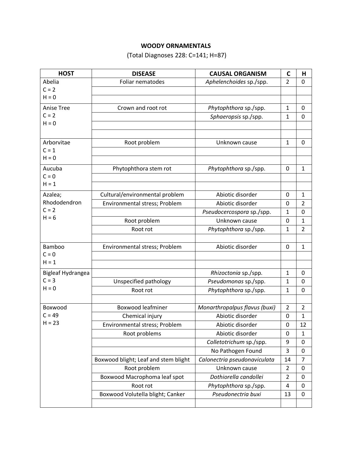# **WOODY ORNAMENTALS**

(Total Diagnoses 228: C=141; H=87)

| <b>HOST</b>              | <b>DISEASE</b>                       | <b>CAUSAL ORGANISM</b>        | $\mathsf{C}$   | н              |
|--------------------------|--------------------------------------|-------------------------------|----------------|----------------|
| Abelia                   | Foliar nematodes                     | Aphelenchoides sp./spp.       | $\overline{2}$ | 0              |
| $C = 2$                  |                                      |                               |                |                |
| $H = 0$                  |                                      |                               |                |                |
| Anise Tree               | Crown and root rot                   | Phytophthora sp./spp.         | 1              | 0              |
| $C = 2$                  |                                      | Sphaeropsis sp./spp.          | $\mathbf{1}$   | 0              |
| $H = 0$                  |                                      |                               |                |                |
|                          |                                      |                               |                |                |
| Arborvitae               | Root problem                         | Unknown cause                 | $\mathbf{1}$   | 0              |
| $C = 1$                  |                                      |                               |                |                |
| $H = 0$                  |                                      |                               |                |                |
| Aucuba                   | Phytophthora stem rot                | Phytophthora sp./spp.         | $\mathbf 0$    | $\mathbf{1}$   |
| $C = 0$                  |                                      |                               |                |                |
| $H = 1$                  |                                      |                               |                |                |
| Azalea;                  | Cultural/environmental problem       | Abiotic disorder              | 0              | 1              |
| Rhododendron             | Environmental stress; Problem        | Abiotic disorder              | 0              | 2              |
| $C = 2$                  |                                      | Pseudocercospora sp./spp.     | 1              | 0              |
| $H = 6$                  | Root problem                         | Unknown cause                 | 0              | 1              |
|                          | Root rot                             | Phytophthora sp./spp.         | 1              | 2              |
|                          |                                      |                               |                |                |
| Bamboo                   | Environmental stress; Problem        | Abiotic disorder              | $\mathbf 0$    | $\mathbf{1}$   |
| $C = 0$                  |                                      |                               |                |                |
| $H = 1$                  |                                      |                               |                |                |
| <b>Bigleaf Hydrangea</b> |                                      | Rhizoctonia sp./spp.          | 1              | 0              |
| $C = 3$                  | Unspecified pathology                | Pseudomonas sp./spp.          | $\mathbf{1}$   | 0              |
| $H = 0$                  | Root rot                             | Phytophthora sp./spp.         | 1              | 0              |
|                          |                                      |                               |                |                |
| Boxwood                  | <b>Boxwood leafminer</b>             | Monarthropalpus flavus (buxi) | $\overline{2}$ | $\overline{2}$ |
| $C = 49$                 | Chemical injury                      | Abiotic disorder              | $\mathbf 0$    | $\mathbf{1}$   |
| $H = 23$                 | Environmental stress; Problem        | Abiotic disorder              | 0              | 12             |
|                          | Root problems                        | Abiotic disorder              | 0              | 1              |
|                          |                                      | Colletotrichum sp./spp.       | 9              | 0              |
|                          |                                      | No Pathogen Found             | 3              | 0              |
|                          | Boxwood blight; Leaf and stem blight | Calonectria pseudonaviculata  | 14             | 7              |
|                          | Root problem                         | Unknown cause                 | $\overline{2}$ | 0              |
|                          | Boxwood Macrophoma leaf spot         | Dothiorella candollei         | $\overline{2}$ | $\mathbf 0$    |
|                          | Root rot                             | Phytophthora sp./spp.         | 4              | 0              |
|                          | Boxwood Volutella blight; Canker     | Pseudonectria buxi            | 13             | 0              |
|                          |                                      |                               |                |                |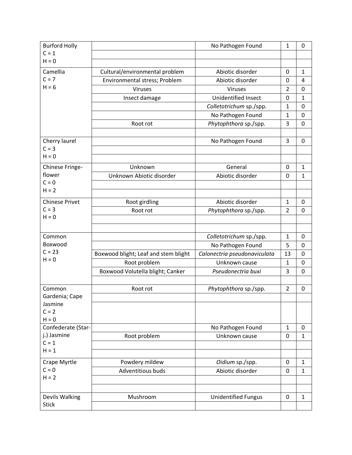| <b>Burford Holly</b>  |                                      | No Pathogen Found            | 1              | 0              |
|-----------------------|--------------------------------------|------------------------------|----------------|----------------|
| $C = 1$               |                                      |                              |                |                |
| $H = 0$               |                                      |                              |                |                |
| Camellia              | Cultural/environmental problem       | Abiotic disorder             | 0              | $\mathbf{1}$   |
| $C = 7$               | Environmental stress; Problem        | Abiotic disorder             | 0              | 4              |
| $H = 6$               | Viruses                              | Viruses                      | $\overline{2}$ | $\mathbf 0$    |
|                       | Insect damage                        | Unidentified Insect          | 0              | $\mathbf 1$    |
|                       |                                      | Colletotrichum sp./spp.      | $\mathbf{1}$   | 0              |
|                       |                                      | No Pathogen Found            | $\mathbf{1}$   | $\mathbf 0$    |
|                       | Root rot                             | Phytophthora sp./spp.        | 3              | $\mathbf 0$    |
|                       |                                      |                              |                |                |
| Cherry laurel         |                                      | No Pathogen Found            | 3              | 0              |
| $C = 3$               |                                      |                              |                |                |
| $H = 0$               |                                      |                              |                |                |
| Chinese Fringe-       | Unknown                              | General                      | 0              | $\mathbf{1}$   |
| flower                | Unknown Abiotic disorder             | Abiotic disorder             | 0              | $\mathbf 1$    |
| $C = 0$               |                                      |                              |                |                |
| $H = 2$               |                                      |                              |                |                |
| <b>Chinese Privet</b> | Root girdling                        | Abiotic disorder             | $\mathbf{1}$   | 0              |
| $C = 3$               | Root rot                             | Phytophthora sp./spp.        | $\overline{2}$ | 0              |
| $H = 0$               |                                      |                              |                |                |
|                       |                                      |                              |                |                |
| Common                |                                      | Colletotrichum sp./spp.      | $\mathbf{1}$   | $\mathbf 0$    |
| Boxwood               |                                      | No Pathogen Found            | 5              | $\pmb{0}$      |
| $C = 23$              | Boxwood blight; Leaf and stem blight | Calonectria pseudonaviculata | 13             | $\mathbf 0$    |
| $H = 0$               | Root problem                         | Unknown cause                | $\mathbf{1}$   | $\pmb{0}$      |
|                       | Boxwood Volutella blight; Canker     | Pseudonectria buxi           | 3              | $\overline{0}$ |
|                       |                                      |                              |                |                |
| Common                | Root rot                             | Phytophthora sp./spp.        | $\overline{2}$ | 0              |
| Gardenia; Cape        |                                      |                              |                |                |
| Jasmine               |                                      |                              |                |                |
| $C = 2$<br>$H = 0$    |                                      |                              |                |                |
| Confederate (Star-    |                                      | No Pathogen Found            | $\mathbf{1}$   | 0              |
| j.) Jasmine           | Root problem                         | Unknown cause                | 0              | $\mathbf{1}$   |
| $C = 1$               |                                      |                              |                |                |
| $H = 1$               |                                      |                              |                |                |
| Crape Myrtle          | Powdery mildew                       | Oidium sp./spp.              | 0              | $\mathbf{1}$   |
| $C = 0$               | Adventitious buds                    | Abiotic disorder             | 0              | $\mathbf{1}$   |
| $H = 2$               |                                      |                              |                |                |
|                       |                                      |                              |                |                |
| Devils Walking        | Mushroom                             | <b>Unidentified Fungus</b>   | $\pmb{0}$      | $\mathbf{1}$   |
| <b>Stick</b>          |                                      |                              |                |                |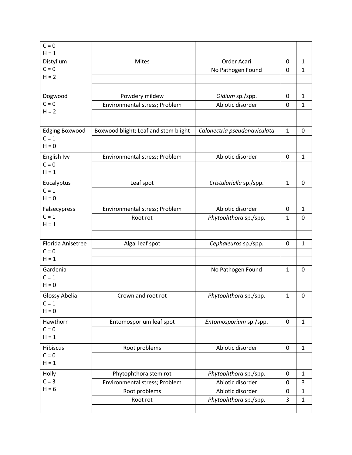| $C = 0$<br>$H = 1$               |                                      |                              |              |              |
|----------------------------------|--------------------------------------|------------------------------|--------------|--------------|
| Distylium                        | Mites                                | Order Acari                  | 0            | $\mathbf{1}$ |
| $C = 0$                          |                                      | No Pathogen Found            | 0            | $\mathbf{1}$ |
| $H = 2$                          |                                      |                              |              |              |
|                                  |                                      |                              |              |              |
| Dogwood                          | Powdery mildew                       | Oidium sp./spp.              | 0            | $\mathbf{1}$ |
| $C = 0$                          | Environmental stress; Problem        | Abiotic disorder             | 0            | $\mathbf{1}$ |
| $H = 2$                          |                                      |                              |              |              |
|                                  |                                      |                              |              |              |
| <b>Edging Boxwood</b><br>$C = 1$ | Boxwood blight; Leaf and stem blight | Calonectria pseudonaviculata | $\mathbf{1}$ | 0            |
| $H = 0$                          |                                      |                              |              |              |
|                                  |                                      | Abiotic disorder             | 0            |              |
| English Ivy<br>$C = 0$           | Environmental stress; Problem        |                              |              | $\mathbf{1}$ |
| $H = 1$                          |                                      |                              |              |              |
| Eucalyptus                       | Leaf spot                            | Cristulariella sp./spp.      | $\mathbf{1}$ | 0            |
| $C = 1$                          |                                      |                              |              |              |
| $H = 0$                          |                                      |                              |              |              |
| Falsecypress                     | Environmental stress; Problem        | Abiotic disorder             | 0            | $\mathbf{1}$ |
| $C = 1$                          | Root rot                             | Phytophthora sp./spp.        | 1            | 0            |
| $H = 1$                          |                                      |                              |              |              |
|                                  |                                      |                              |              |              |
| Florida Anisetree                | Algal leaf spot                      | Cephaleuros sp./spp.         | 0            | $\mathbf{1}$ |
| $C = 0$<br>$H = 1$               |                                      |                              |              |              |
|                                  |                                      |                              |              |              |
| Gardenia<br>$C = 1$              |                                      | No Pathogen Found            | $\mathbf{1}$ | 0            |
| $H = 0$                          |                                      |                              |              |              |
| Glossy Abelia                    | Crown and root rot                   | Phytophthora sp./spp.        | 1            | 0            |
| $C = 1$                          |                                      |                              |              |              |
| $H = 0$                          |                                      |                              |              |              |
| Hawthorn                         | Entomosporium leaf spot              | Entomosporium sp./spp.       | 0            | $\mathbf{1}$ |
| $C = 0$                          |                                      |                              |              |              |
| $H = 1$                          |                                      |                              |              |              |
| <b>Hibiscus</b>                  | Root problems                        | Abiotic disorder             | $\mathbf 0$  | $\mathbf{1}$ |
| $C = 0$                          |                                      |                              |              |              |
| $H = 1$                          |                                      |                              |              |              |
| Holly                            | Phytophthora stem rot                | Phytophthora sp./spp.        | 0            | $\mathbf{1}$ |
| $C = 3$<br>$H = 6$               | Environmental stress; Problem        | Abiotic disorder             | 0            | 3            |
|                                  | Root problems                        | Abiotic disorder             | 0            | $\mathbf{1}$ |
|                                  | Root rot                             | Phytophthora sp./spp.        | 3            | $\mathbf{1}$ |
|                                  |                                      |                              |              |              |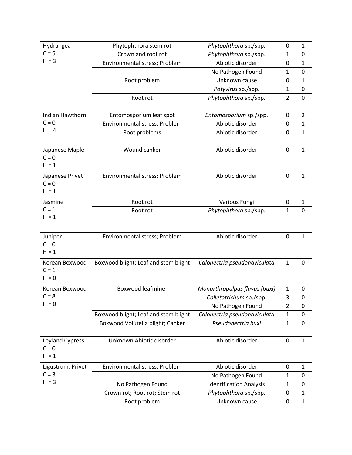| Hydrangea         | Phytophthora stem rot                | Phytophthora sp./spp.          | 0              | 1            |
|-------------------|--------------------------------------|--------------------------------|----------------|--------------|
| $C = 5$           | Crown and root rot                   | Phytophthora sp./spp.          | 1              | $\mathbf 0$  |
| $H = 3$           | Environmental stress; Problem        | Abiotic disorder               | 0              | 1            |
|                   |                                      | No Pathogen Found              | $\mathbf{1}$   | $\mathbf 0$  |
|                   | Root problem                         | Unknown cause                  | 0              | $\mathbf 1$  |
|                   |                                      | Potyvirus sp./spp.             | 1              | $\mathbf 0$  |
|                   | Root rot                             | Phytophthora sp./spp.          | 2              | 0            |
|                   |                                      |                                |                |              |
| Indian Hawthorn   | Entomosporium leaf spot              | Entomosporium sp./spp.         | 0              | 2            |
| $C = 0$           | Environmental stress; Problem        | Abiotic disorder               | 0              | 1            |
| $H = 4$           | Root problems                        | Abiotic disorder               | 0              | 1            |
|                   |                                      |                                |                |              |
| Japanese Maple    | Wound canker                         | Abiotic disorder               | 0              | $\mathbf{1}$ |
| $C = 0$           |                                      |                                |                |              |
| $H = 1$           |                                      |                                |                |              |
| Japanese Privet   | Environmental stress; Problem        | Abiotic disorder               | 0              | 1            |
| $C = 0$           |                                      |                                |                |              |
| $H = 1$           |                                      |                                |                |              |
| Jasmine           | Root rot                             | Various Fungi                  | 0              | $\mathbf{1}$ |
| $C = 1$           | Root rot                             | Phytophthora sp./spp.          | 1              | 0            |
| $H = 1$           |                                      |                                |                |              |
|                   |                                      |                                |                |              |
| Juniper           | Environmental stress; Problem        | Abiotic disorder               | 0              | 1            |
| $C = 0$           |                                      |                                |                |              |
| $H = 1$           |                                      |                                |                |              |
| Korean Boxwood    | Boxwood blight; Leaf and stem blight | Calonectria pseudonaviculata   | $\mathbf{1}$   | 0            |
| $C = 1$           |                                      |                                |                |              |
| $H = 0$           |                                      |                                |                |              |
| Korean Boxwood    | <b>Boxwood leafminer</b>             | Monarthropalpus flavus (buxi)  | 1              | 0            |
| $C = 8$           |                                      | Colletotrichum sp./spp.        | 3              | 0            |
| $H = 0$           |                                      | No Pathogen Found              | $\overline{2}$ | 0            |
|                   | Boxwood blight; Leaf and stem blight | Calonectria pseudonaviculata   | $\mathbf{1}$   | 0            |
|                   | Boxwood Volutella blight; Canker     | Pseudonectria buxi             | $\mathbf{1}$   | $\mathbf 0$  |
|                   |                                      |                                |                |              |
| Leyland Cypress   | Unknown Abiotic disorder             | Abiotic disorder               | $\pmb{0}$      | $\mathbf{1}$ |
| $C = 0$           |                                      |                                |                |              |
| $H = 1$           |                                      |                                |                |              |
| Ligustrum; Privet | Environmental stress; Problem        | Abiotic disorder               | 0              | 1            |
| $C = 3$           |                                      | No Pathogen Found              | 1              | 0            |
| $H = 3$           | No Pathogen Found                    | <b>Identification Analysis</b> | 1              | 0            |
|                   | Crown rot; Root rot; Stem rot        | Phytophthora sp./spp.          | 0              | 1            |
|                   | Root problem                         | Unknown cause                  | 0              | $\mathbf{1}$ |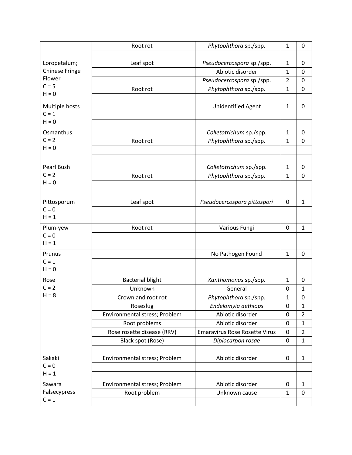|                       | Root rot                      | Phytophthora sp./spp.                | 1              | 0              |
|-----------------------|-------------------------------|--------------------------------------|----------------|----------------|
|                       |                               |                                      |                |                |
| Loropetalum;          | Leaf spot                     | Pseudocercospora sp./spp.            | $\mathbf{1}$   | 0              |
| <b>Chinese Fringe</b> |                               | Abiotic disorder                     | $\mathbf{1}$   | $\mathbf 0$    |
| Flower                |                               | Pseudocercospora sp./spp.            | $\overline{2}$ | $\pmb{0}$      |
| $C = 5$               | Root rot                      | Phytophthora sp./spp.                | $\mathbf{1}$   | 0              |
| $H = 0$               |                               |                                      |                |                |
| Multiple hosts        |                               | Unidentified Agent                   | $\mathbf{1}$   | 0              |
| $C = 1$               |                               |                                      |                |                |
| $H = 0$               |                               |                                      |                |                |
| Osmanthus             |                               | Colletotrichum sp./spp.              | $\mathbf{1}$   | 0              |
| $C = 2$               | Root rot                      | Phytophthora sp./spp.                | $\mathbf{1}$   | $\overline{0}$ |
| $H = 0$               |                               |                                      |                |                |
|                       |                               |                                      |                |                |
| Pearl Bush            |                               | Colletotrichum sp./spp.              | $\mathbf{1}$   | 0              |
| $C = 2$               | Root rot                      | Phytophthora sp./spp.                | 1              | 0              |
| $H = 0$               |                               |                                      |                |                |
|                       |                               |                                      |                |                |
| Pittosporum           | Leaf spot                     | Pseudocercospora pittospori          | 0              | $\mathbf{1}$   |
| $C = 0$               |                               |                                      |                |                |
| $H = 1$               |                               |                                      |                |                |
| Plum-yew              | Root rot                      | Various Fungi                        | 0              | $\mathbf{1}$   |
| $C = 0$               |                               |                                      |                |                |
| $H = 1$               |                               |                                      |                |                |
| Prunus                |                               | No Pathogen Found                    | $\mathbf{1}$   | 0              |
| $C = 1$               |                               |                                      |                |                |
| $H = 0$               |                               |                                      |                |                |
| Rose                  | <b>Bacterial blight</b>       | Xanthomonas sp./spp.                 | $\mathbf{1}$   | 0              |
| $C = 2$               | Unknown                       | General                              | 0              | $\mathbf{1}$   |
| $H = 8$               | Crown and root rot            | Phytophthora sp./spp.                | 1              | 0              |
|                       | Roseslug                      | Endelomyia aethiops                  | 0              | $\mathbf{1}$   |
|                       | Environmental stress; Problem | Abiotic disorder                     | 0              | $\overline{2}$ |
|                       | Root problems                 | Abiotic disorder                     | 0              | $\mathbf{1}$   |
|                       | Rose rosette disease (RRV)    | <b>Emaravirus Rose Rosette Virus</b> | 0              | $\overline{2}$ |
|                       | Black spot (Rose)             | Diplocarpon rosae                    | 0              | $\mathbf{1}$   |
|                       |                               |                                      |                |                |
| Sakaki                | Environmental stress; Problem | Abiotic disorder                     | $\pmb{0}$      | $\mathbf{1}$   |
| $C = 0$               |                               |                                      |                |                |
| $H = 1$               |                               |                                      |                |                |
| Sawara                | Environmental stress; Problem | Abiotic disorder                     | 0              | $\mathbf{1}$   |
| Falsecypress          | Root problem                  | Unknown cause                        | $\mathbf{1}$   | $\mathbf 0$    |
| $C = 1$               |                               |                                      |                |                |